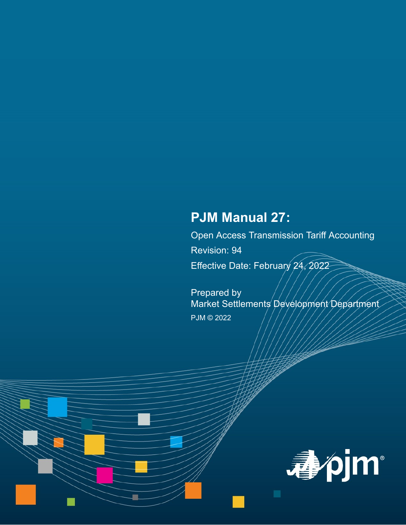# **PJM Manual 27:**

Open Access Transmission Tariff Accounting

Revision: 94

Effective Date: February 24, 2022

Prepared by Market Settlements Development Department PJM © 2022

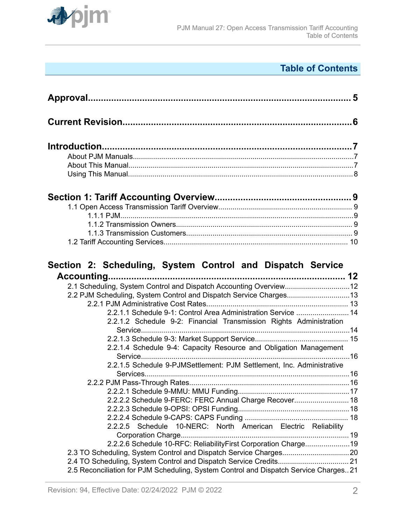

# **Table of Contents**

| 2.1 Scheduling, System Control and Dispatch Accounting Overview12<br>2.2 PJM Scheduling, System Control and Dispatch Service Charges13<br>2.2.1.1 Schedule 9-1: Control Area Administration Service  14<br>2.2.1.2 Schedule 9-2: Financial Transmission Rights Administration<br>2.2.1.4 Schedule 9-4: Capacity Resource and Obligation Management |  |
|----------------------------------------------------------------------------------------------------------------------------------------------------------------------------------------------------------------------------------------------------------------------------------------------------------------------------------------------------|--|
|                                                                                                                                                                                                                                                                                                                                                    |  |
| 2.2.1.5 Schedule 9-PJMSettlement: PJM Settlement, Inc. Administrative                                                                                                                                                                                                                                                                              |  |
|                                                                                                                                                                                                                                                                                                                                                    |  |
|                                                                                                                                                                                                                                                                                                                                                    |  |
| 2.2.2.2 Schedule 9-FERC: FERC Annual Charge Recover 18                                                                                                                                                                                                                                                                                             |  |
|                                                                                                                                                                                                                                                                                                                                                    |  |
|                                                                                                                                                                                                                                                                                                                                                    |  |
| 2.2.2.5 Schedule 10-NERC: North American Electric Reliability                                                                                                                                                                                                                                                                                      |  |
|                                                                                                                                                                                                                                                                                                                                                    |  |
| 2.2.2.6 Schedule 10-RFC: ReliabilityFirst Corporation Charge19                                                                                                                                                                                                                                                                                     |  |
| 2.3 TO Scheduling, System Control and Dispatch Service Charges20                                                                                                                                                                                                                                                                                   |  |
| 2.5 Reconciliation for PJM Scheduling, System Control and Dispatch Service Charges21                                                                                                                                                                                                                                                               |  |
|                                                                                                                                                                                                                                                                                                                                                    |  |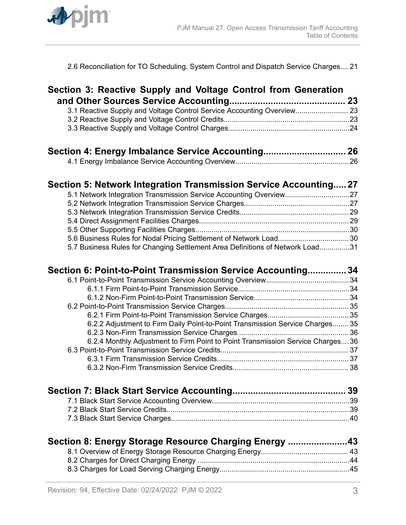

[2.6 Reconciliation for TO Scheduling, System Control and Dispatch Service Charges.... 21](#page-20-0)

| Section 3: Reactive Supply and Voltage Control from Generation                  |  |
|---------------------------------------------------------------------------------|--|
| 3.1 Reactive Supply and Voltage Control Service Accounting Overview 23          |  |
|                                                                                 |  |
|                                                                                 |  |
|                                                                                 |  |
| Section 4: Energy Imbalance Service Accounting 26                               |  |
|                                                                                 |  |
| Section 5: Network Integration Transmission Service Accounting 27               |  |
| 5.1 Network Integration Transmission Service Accounting Overview27              |  |
|                                                                                 |  |
|                                                                                 |  |
|                                                                                 |  |
|                                                                                 |  |
|                                                                                 |  |
| 5.7 Business Rules for Changing Settlement Area Definitions of Network Load31   |  |
| Section 6: Point-to-Point Transmission Service Accounting 34                    |  |
|                                                                                 |  |
|                                                                                 |  |
|                                                                                 |  |
|                                                                                 |  |
|                                                                                 |  |
| 6.2.2 Adjustment to Firm Daily Point-to-Point Transmission Service Charges 35   |  |
|                                                                                 |  |
| 6.2.4 Monthly Adjustment to Firm Point to Point Transmission Service Charges 36 |  |
|                                                                                 |  |
|                                                                                 |  |
|                                                                                 |  |
|                                                                                 |  |
|                                                                                 |  |
|                                                                                 |  |
|                                                                                 |  |
| Section 8: Energy Storage Resource Charging Energy 43                           |  |
|                                                                                 |  |
|                                                                                 |  |
|                                                                                 |  |
|                                                                                 |  |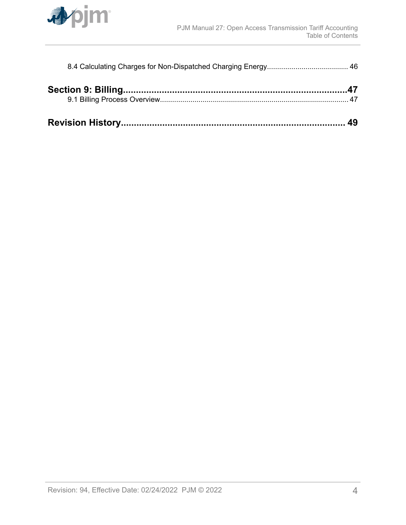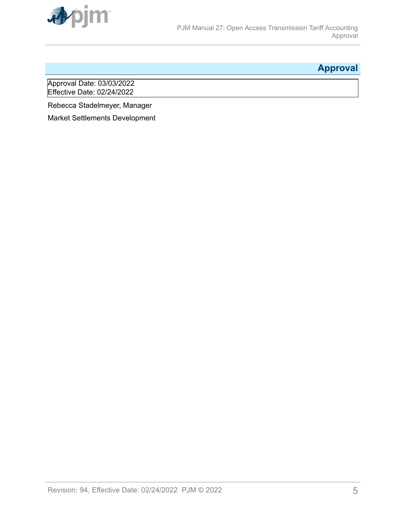<span id="page-4-0"></span>

# **Approval**

Approval Date: 03/03/2022 Effective Date: 02/24/2022

Rebecca Stadelmeyer, Manager

Market Settlements Development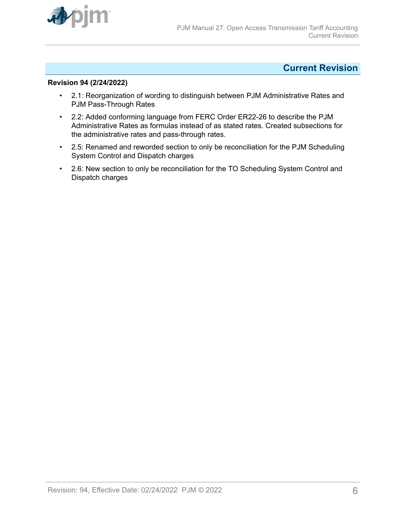<span id="page-5-0"></span>

# **Current Revision**

### **Revision 94 (2/24/2022)**

- 2.1: Reorganization of wording to distinguish between PJM Administrative Rates and PJM Pass-Through Rates
- 2.2: Added conforming language from FERC Order ER22-26 to describe the PJM Administrative Rates as formulas instead of as stated rates. Created subsections for the administrative rates and pass-through rates.
- 2.5: Renamed and reworded section to only be reconciliation for the PJM Scheduling System Control and Dispatch charges
- 2.6: New section to only be reconciliation for the TO Scheduling System Control and Dispatch charges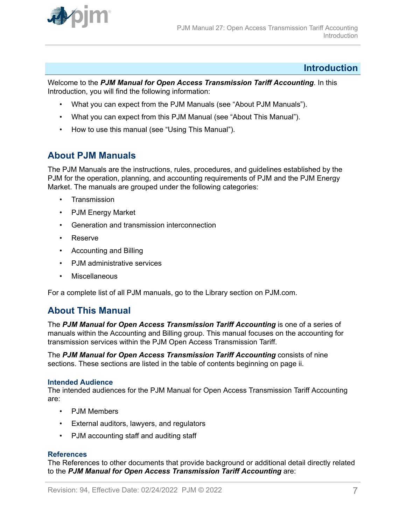<span id="page-6-0"></span>

# **Introduction**

Welcome to the *PJM Manual for Open Access Transmission Tariff Accounting*. In this Introduction, you will find the following information:

- What you can expect from the PJM Manuals (see "About PJM Manuals").
- What you can expect from this PJM Manual (see "About This Manual").
- How to use this manual (see "Using This Manual").

# **About PJM Manuals**

The PJM Manuals are the instructions, rules, procedures, and guidelines established by the PJM for the operation, planning, and accounting requirements of PJM and the PJM Energy Market. The manuals are grouped under the following categories:

- Transmission
- PJM Energy Market
- Generation and transmission interconnection
- Reserve
- Accounting and Billing
- PJM administrative services
- Miscellaneous

For a complete list of all PJM manuals, go to the Library section on PJM.com.

# **About This Manual**

The PJM Manual for Open Access Transmission Tariff Accounting is one of a series of manuals within the Accounting and Billing group. This manual focuses on the accounting for transmission services within the PJM Open Access Transmission Tariff.

The *PJM Manual for Open Access Transmission Tariff Accounting* consists of nine sections. These sections are listed in the table of contents beginning on page ii.

#### **Intended Audience**

The intended audiences for the PJM Manual for Open Access Transmission Tariff Accounting are:

- PJM Members
- External auditors, lawyers, and regulators
- PJM accounting staff and auditing staff

#### **References**

The References to other documents that provide background or additional detail directly related to the *PJM Manual for Open Access Transmission Tariff Accounting* are: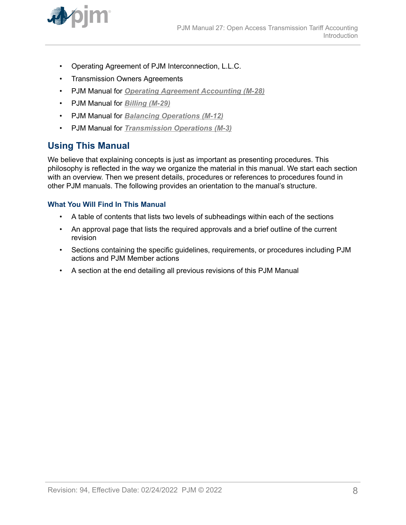<span id="page-7-0"></span>

- Operating Agreement of PJM Interconnection, L.L.C.
- Transmission Owners Agreements
- PJM Manual for *[Operating Agreement Accounting \(M-28\)](http://www.pjm.com/~/media/documents/manuals/m28.ashx)*
- PJM Manual for *[Billing \(M-29\)](http://www.pjm.com/~/media/documents/manuals/m29.ashx)*
- PJM Manual for *[Balancing Operations \(M-12\)](http://www.pjm.com/~/media/documents/manuals/m12.ashx)*
- PJM Manual for *[Transmission Operations \(M-3\)](http://www.pjm.com/~/media/documents/manuals/m03.ashx)*

# **Using This Manual**

We believe that explaining concepts is just as important as presenting procedures. This philosophy is reflected in the way we organize the material in this manual. We start each section with an overview. Then we present details, procedures or references to procedures found in other PJM manuals. The following provides an orientation to the manual's structure.

### **What You Will Find In This Manual**

- A table of contents that lists two levels of subheadings within each of the sections
- An approval page that lists the required approvals and a brief outline of the current revision
- Sections containing the specific guidelines, requirements, or procedures including PJM actions and PJM Member actions
- A section at the end detailing all previous revisions of this PJM Manual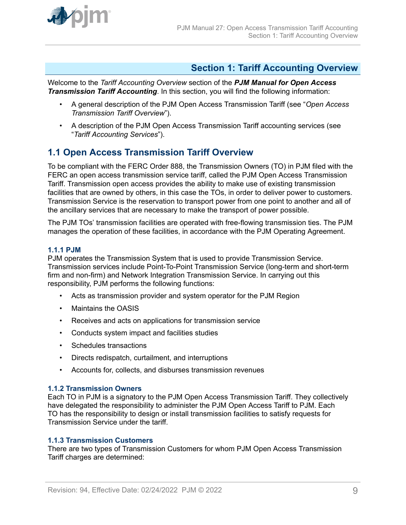<span id="page-8-0"></span>

# **Section 1: Tariff Accounting Overview**

Welcome to the *Tariff Accounting Overview* section of the *PJM Manual for Open Access Transmission Tariff Accounting*. In this section, you will find the following information:

- A general description of the PJM Open Access Transmission Tariff (see "*Open Access Transmission Tariff Overview*").
- A description of the PJM Open Access Transmission Tariff accounting services (see "*Tariff Accounting Services*").

# **1.1 Open Access Transmission Tariff Overview**

To be compliant with the FERC Order 888, the Transmission Owners (TO) in PJM filed with the FERC an open access transmission service tariff, called the PJM Open Access Transmission Tariff. Transmission open access provides the ability to make use of existing transmission facilities that are owned by others, in this case the TOs, in order to deliver power to customers. Transmission Service is the reservation to transport power from one point to another and all of the ancillary services that are necessary to make the transport of power possible.

The PJM TOs' transmission facilities are operated with free-flowing transmission ties. The PJM manages the operation of these facilities, in accordance with the PJM Operating Agreement.

### **1.1.1 PJM**

PJM operates the Transmission System that is used to provide Transmission Service. Transmission services include Point-To-Point Transmission Service (long-term and short-term firm and non-firm) and Network Integration Transmission Service. In carrying out this responsibility, PJM performs the following functions:

- Acts as transmission provider and system operator for the PJM Region
- Maintains the OASIS
- Receives and acts on applications for transmission service
- Conducts system impact and facilities studies
- Schedules transactions
- Directs redispatch, curtailment, and interruptions
- Accounts for, collects, and disburses transmission revenues

#### **1.1.2 Transmission Owners**

Each TO in PJM is a signatory to the PJM Open Access Transmission Tariff. They collectively have delegated the responsibility to administer the PJM Open Access Tariff to PJM. Each TO has the responsibility to design or install transmission facilities to satisfy requests for Transmission Service under the tariff.

### **1.1.3 Transmission Customers**

There are two types of Transmission Customers for whom PJM Open Access Transmission Tariff charges are determined: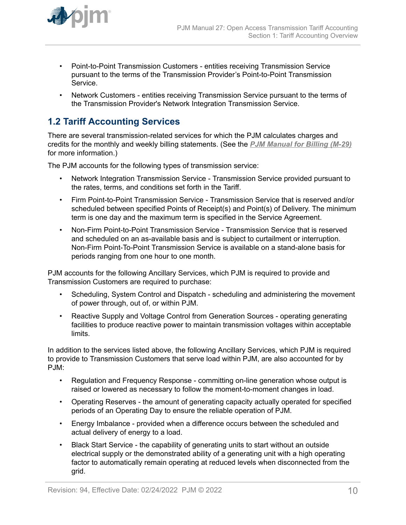<span id="page-9-0"></span>

- Point-to-Point Transmission Customers entities receiving Transmission Service pursuant to the terms of the Transmission Provider's Point-to-Point Transmission Service.
- Network Customers entities receiving Transmission Service pursuant to the terms of the Transmission Provider's Network Integration Transmission Service.

# **1.2 Tariff Accounting Services**

There are several transmission-related services for which the PJM calculates charges and credits for the monthly and weekly billing statements. (See the *[PJM Manual for Billing \(M-29\)](http://www.pjm.com/~/media/documents/manuals/m29.ashx)* for more information.)

The PJM accounts for the following types of transmission service:

- Network Integration Transmission Service Transmission Service provided pursuant to the rates, terms, and conditions set forth in the Tariff.
- Firm Point-to-Point Transmission Service Transmission Service that is reserved and/or scheduled between specified Points of Receipt(s) and Point(s) of Delivery. The minimum term is one day and the maximum term is specified in the Service Agreement.
- Non-Firm Point-to-Point Transmission Service Transmission Service that is reserved and scheduled on an as-available basis and is subject to curtailment or interruption. Non-Firm Point-To-Point Transmission Service is available on a stand-alone basis for periods ranging from one hour to one month.

PJM accounts for the following Ancillary Services, which PJM is required to provide and Transmission Customers are required to purchase:

- Scheduling, System Control and Dispatch scheduling and administering the movement of power through, out of, or within PJM.
- Reactive Supply and Voltage Control from Generation Sources operating generating facilities to produce reactive power to maintain transmission voltages within acceptable limits.

In addition to the services listed above, the following Ancillary Services, which PJM is required to provide to Transmission Customers that serve load within PJM, are also accounted for by PJM:

- Regulation and Frequency Response committing on-line generation whose output is raised or lowered as necessary to follow the moment-to-moment changes in load.
- Operating Reserves the amount of generating capacity actually operated for specified periods of an Operating Day to ensure the reliable operation of PJM.
- Energy Imbalance provided when a difference occurs between the scheduled and actual delivery of energy to a load.
- Black Start Service the capability of generating units to start without an outside electrical supply or the demonstrated ability of a generating unit with a high operating factor to automatically remain operating at reduced levels when disconnected from the grid.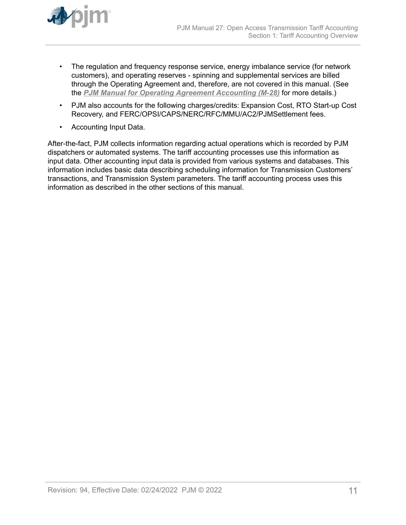

- The regulation and frequency response service, energy imbalance service (for network customers), and operating reserves - spinning and supplemental services are billed through the Operating Agreement and, therefore, are not covered in this manual. (See the *[PJM Manual for Operating Agreement Accounting \(M-28\)](http://www.pjm.com/~/media/documents/manuals/m28.ashx)* for more details.)
- PJM also accounts for the following charges/credits: Expansion Cost, RTO Start-up Cost Recovery, and FERC/OPSI/CAPS/NERC/RFC/MMU/AC2/PJMSettlement fees.
- Accounting Input Data.

After-the-fact, PJM collects information regarding actual operations which is recorded by PJM dispatchers or automated systems. The tariff accounting processes use this information as input data. Other accounting input data is provided from various systems and databases. This information includes basic data describing scheduling information for Transmission Customers' transactions, and Transmission System parameters. The tariff accounting process uses this information as described in the other sections of this manual.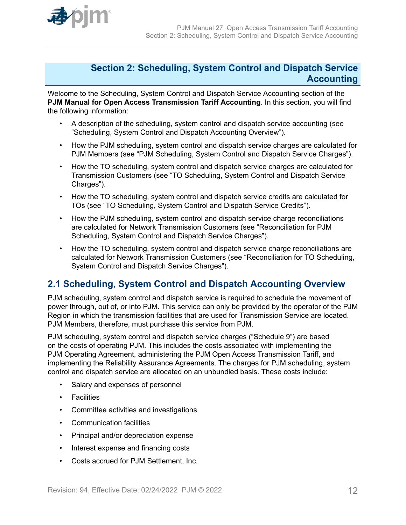<span id="page-11-0"></span>

# **Section 2: Scheduling, System Control and Dispatch Service Accounting**

Welcome to the Scheduling, System Control and Dispatch Service Accounting section of the **PJM Manual for Open Access Transmission Tariff Accounting**. In this section, you will find the following information:

- A description of the scheduling, system control and dispatch service accounting (see "Scheduling, System Control and Dispatch Accounting Overview").
- How the PJM scheduling, system control and dispatch service charges are calculated for PJM Members (see "PJM Scheduling, System Control and Dispatch Service Charges").
- How the TO scheduling, system control and dispatch service charges are calculated for Transmission Customers (see "TO Scheduling, System Control and Dispatch Service Charges").
- How the TO scheduling, system control and dispatch service credits are calculated for TOs (see "TO Scheduling, System Control and Dispatch Service Credits").
- How the PJM scheduling, system control and dispatch service charge reconciliations are calculated for Network Transmission Customers (see "Reconciliation for PJM Scheduling, System Control and Dispatch Service Charges").
- How the TO scheduling, system control and dispatch service charge reconciliations are calculated for Network Transmission Customers (see "Reconciliation for TO Scheduling, System Control and Dispatch Service Charges").

# **2.1 Scheduling, System Control and Dispatch Accounting Overview**

PJM scheduling, system control and dispatch service is required to schedule the movement of power through, out of, or into PJM. This service can only be provided by the operator of the PJM Region in which the transmission facilities that are used for Transmission Service are located. PJM Members, therefore, must purchase this service from PJM.

PJM scheduling, system control and dispatch service charges ("Schedule 9") are based on the costs of operating PJM. This includes the costs associated with implementing the PJM Operating Agreement, administering the PJM Open Access Transmission Tariff, and implementing the Reliability Assurance Agreements. The charges for PJM scheduling, system control and dispatch service are allocated on an unbundled basis. These costs include:

- Salary and expenses of personnel
- Facilities
- Committee activities and investigations
- Communication facilities
- Principal and/or depreciation expense
- Interest expense and financing costs
- Costs accrued for PJM Settlement, Inc.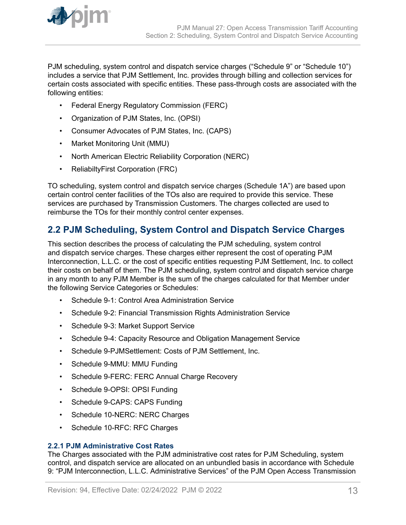<span id="page-12-0"></span>

PJM scheduling, system control and dispatch service charges ("Schedule 9" or "Schedule 10") includes a service that PJM Settlement, Inc. provides through billing and collection services for certain costs associated with specific entities. These pass-through costs are associated with the following entities:

- Federal Energy Regulatory Commission (FERC)
- Organization of PJM States, Inc. (OPSI)
- Consumer Advocates of PJM States, Inc. (CAPS)
- Market Monitoring Unit (MMU)
- North American Electric Reliability Corporation (NERC)
- ReliabiltyFirst Corporation (FRC)

TO scheduling, system control and dispatch service charges (Schedule 1A") are based upon certain control center facilities of the TOs also are required to provide this service. These services are purchased by Transmission Customers. The charges collected are used to reimburse the TOs for their monthly control center expenses.

# **2.2 PJM Scheduling, System Control and Dispatch Service Charges**

This section describes the process of calculating the PJM scheduling, system control and dispatch service charges. These charges either represent the cost of operating PJM Interconnection, L.L.C. or the cost of specific entities requesting PJM Settlement, Inc. to collect their costs on behalf of them. The PJM scheduling, system control and dispatch service charge in any month to any PJM Member is the sum of the charges calculated for that Member under the following Service Categories or Schedules:

- Schedule 9-1: Control Area Administration Service
- Schedule 9-2: Financial Transmission Rights Administration Service
- Schedule 9-3: Market Support Service
- Schedule 9-4: Capacity Resource and Obligation Management Service
- Schedule 9-PJMSettlement: Costs of PJM Settlement, Inc.
- Schedule 9-MMU: MMU Funding
- Schedule 9-FERC: FERC Annual Charge Recovery
- Schedule 9-OPSI: OPSI Funding
- Schedule 9-CAPS: CAPS Funding
- Schedule 10-NERC: NERC Charges
- Schedule 10-RFC: RFC Charges

### **2.2.1 PJM Administrative Cost Rates**

The Charges associated with the PJM administrative cost rates for PJM Scheduling, system control, and dispatch service are allocated on an unbundled basis in accordance with Schedule 9: "PJM Interconnection, L.L.C. Administrative Services" of the PJM Open Access Transmission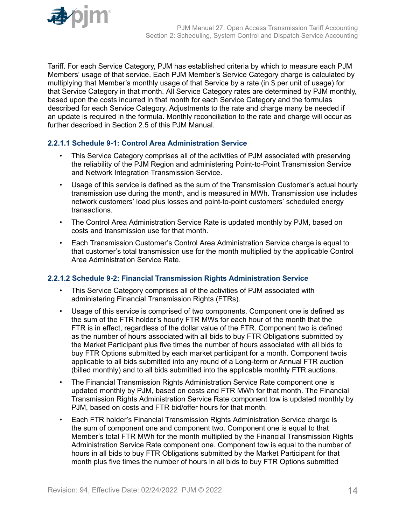<span id="page-13-0"></span>

Tariff. For each Service Category, PJM has established criteria by which to measure each PJM Members' usage of that service. Each PJM Member's Service Category charge is calculated by multiplying that Member's monthly usage of that Service by a rate (in \$ per unit of usage) for that Service Category in that month. All Service Category rates are determined by PJM monthly, based upon the costs incurred in that month for each Service Category and the formulas described for each Service Category. Adjustments to the rate and charge many be needed if an update is required in the formula. Monthly reconciliation to the rate and charge will occur as further described in Section 2.5 of this PJM Manual.

# **2.2.1.1 Schedule 9-1: Control Area Administration Service**

- This Service Category comprises all of the activities of PJM associated with preserving the reliability of the PJM Region and administering Point-to-Point Transmission Service and Network Integration Transmission Service.
- Usage of this service is defined as the sum of the Transmission Customer's actual hourly transmission use during the month, and is measured in MWh. Transmission use includes network customers' load plus losses and point-to-point customers' scheduled energy transactions.
- The Control Area Administration Service Rate is updated monthly by PJM, based on costs and transmission use for that month.
- Each Transmission Customer's Control Area Administration Service charge is equal to that customer's total transmission use for the month multiplied by the applicable Control Area Administration Service Rate.

### **2.2.1.2 Schedule 9-2: Financial Transmission Rights Administration Service**

- This Service Category comprises all of the activities of PJM associated with administering Financial Transmission Rights (FTRs).
- Usage of this service is comprised of two components. Component one is defined as the sum of the FTR holder's hourly FTR MWs for each hour of the month that the FTR is in effect, regardless of the dollar value of the FTR. Component two is defined as the number of hours associated with all bids to buy FTR Obligations submitted by the Market Participant plus five times the number of hours associated with all bids to buy FTR Options submitted by each market participant for a month. Component twois applicable to all bids submitted into any round of a Long-term or Annual FTR auction (billed monthly) and to all bids submitted into the applicable monthly FTR auctions.
- The Financial Transmission Rights Administration Service Rate component one is updated monthly by PJM, based on costs and FTR MWh for that month. The Financial Transmission Rights Administration Service Rate component tow is updated monthly by PJM, based on costs and FTR bid/offer hours for that month.
- Each FTR holder's Financial Transmission Rights Administration Service charge is the sum of component one and component two. Component one is equal to that Member's total FTR MWh for the month multiplied by the Financial Transmission Rights Administration Service Rate component one. Component tow is equal to the number of hours in all bids to buy FTR Obligations submitted by the Market Participant for that month plus five times the number of hours in all bids to buy FTR Options submitted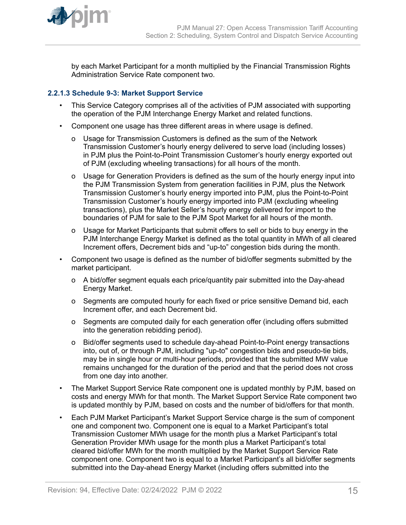<span id="page-14-0"></span>

by each Market Participant for a month multiplied by the Financial Transmission Rights Administration Service Rate component two.

# **2.2.1.3 Schedule 9-3: Market Support Service**

- This Service Category comprises all of the activities of PJM associated with supporting the operation of the PJM Interchange Energy Market and related functions.
- Component one usage has three different areas in where usage is defined.
	- o Usage for Transmission Customers is defined as the sum of the Network Transmission Customer's hourly energy delivered to serve load (including losses) in PJM plus the Point-to-Point Transmission Customer's hourly energy exported out of PJM (excluding wheeling transactions) for all hours of the month.
	- o Usage for Generation Providers is defined as the sum of the hourly energy input into the PJM Transmission System from generation facilities in PJM, plus the Network Transmission Customer's hourly energy imported into PJM, plus the Point-to-Point Transmission Customer's hourly energy imported into PJM (excluding wheeling transactions), plus the Market Seller's hourly energy delivered for import to the boundaries of PJM for sale to the PJM Spot Market for all hours of the month.
	- o Usage for Market Participants that submit offers to sell or bids to buy energy in the PJM Interchange Energy Market is defined as the total quantity in MWh of all cleared Increment offers, Decrement bids and "up-to" congestion bids during the month.
- Component two usage is defined as the number of bid/offer segments submitted by the market participant.
	- o A bid/offer segment equals each price/quantity pair submitted into the Day-ahead Energy Market.
	- o Segments are computed hourly for each fixed or price sensitive Demand bid, each Increment offer, and each Decrement bid.
	- o Segments are computed daily for each generation offer (including offers submitted into the generation rebidding period).
	- o Bid/offer segments used to schedule day-ahead Point-to-Point energy transactions into, out of, or through PJM, including "up-to" congestion bids and pseudo-tie bids, may be in single hour or multi-hour periods, provided that the submitted MW value remains unchanged for the duration of the period and that the period does not cross from one day into another.
- The Market Support Service Rate component one is updated monthly by PJM, based on costs and energy MWh for that month. The Market Support Service Rate component two is updated monthly by PJM, based on costs and the number of bid/offers for that month.
- Each PJM Market Participant's Market Support Service charge is the sum of component one and component two. Component one is equal to a Market Participant's total Transmission Customer MWh usage for the month plus a Market Participant's total Generation Provider MWh usage for the month plus a Market Participant's total cleared bid/offer MWh for the month multiplied by the Market Support Service Rate component one. Component two is equal to a Market Participant's all bid/offer segments submitted into the Day-ahead Energy Market (including offers submitted into the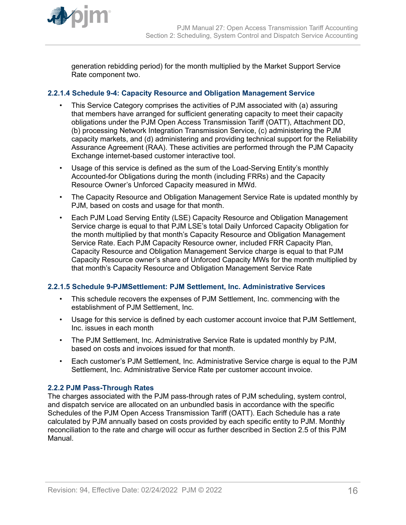<span id="page-15-0"></span>

generation rebidding period) for the month multiplied by the Market Support Service Rate component two.

# **2.2.1.4 Schedule 9-4: Capacity Resource and Obligation Management Service**

- This Service Category comprises the activities of PJM associated with (a) assuring that members have arranged for sufficient generating capacity to meet their capacity obligations under the PJM Open Access Transmission Tariff (OATT), Attachment DD, (b) processing Network Integration Transmission Service, (c) administering the PJM capacity markets, and (d) administering and providing technical support for the Reliability Assurance Agreement (RAA). These activities are performed through the PJM Capacity Exchange internet-based customer interactive tool.
- Usage of this service is defined as the sum of the Load-Serving Entity's monthly Accounted-for Obligations during the month (including FRRs) and the Capacity Resource Owner's Unforced Capacity measured in MWd.
- The Capacity Resource and Obligation Management Service Rate is updated monthly by PJM, based on costs and usage for that month.
- Each PJM Load Serving Entity (LSE) Capacity Resource and Obligation Management Service charge is equal to that PJM LSE's total Daily Unforced Capacity Obligation for the month multiplied by that month's Capacity Resource and Obligation Management Service Rate. Each PJM Capacity Resource owner, included FRR Capacity Plan, Capacity Resource and Obligation Management Service charge is equal to that PJM Capacity Resource owner's share of Unforced Capacity MWs for the month multiplied by that month's Capacity Resource and Obligation Management Service Rate

### **2.2.1.5 Schedule 9-PJMSettlement: PJM Settlement, Inc. Administrative Services**

- This schedule recovers the expenses of PJM Settlement, Inc. commencing with the establishment of PJM Settlement, Inc.
- Usage for this service is defined by each customer account invoice that PJM Settlement, Inc. issues in each month
- The PJM Settlement, Inc. Administrative Service Rate is updated monthly by PJM, based on costs and invoices issued for that month.
- Each customer's PJM Settlement, Inc. Administrative Service charge is equal to the PJM Settlement, Inc. Administrative Service Rate per customer account invoice.

### **2.2.2 PJM Pass-Through Rates**

The charges associated with the PJM pass-through rates of PJM scheduling, system control, and dispatch service are allocated on an unbundled basis in accordance with the specific Schedules of the PJM Open Access Transmission Tariff (OATT). Each Schedule has a rate calculated by PJM annually based on costs provided by each specific entity to PJM. Monthly reconciliation to the rate and charge will occur as further described in Section 2.5 of this PJM Manual.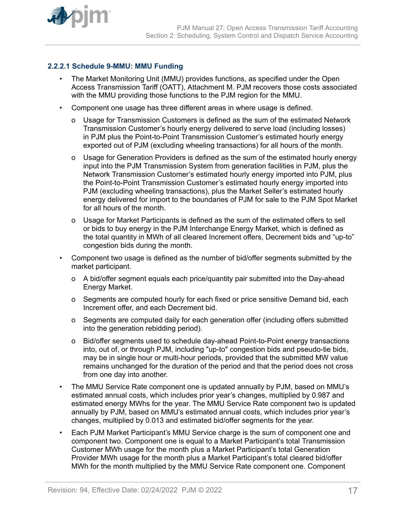<span id="page-16-0"></span>

# **2.2.2.1 Schedule 9-MMU: MMU Funding**

- The Market Monitoring Unit (MMU) provides functions, as specified under the Open Access Transmission Tariff (OATT), Attachment M. PJM recovers those costs associated with the MMU providing those functions to the PJM region for the MMU.
- Component one usage has three different areas in where usage is defined.
	- o Usage for Transmission Customers is defined as the sum of the estimated Network Transmission Customer's hourly energy delivered to serve load (including losses) in PJM plus the Point-to-Point Transmission Customer's estimated hourly energy exported out of PJM (excluding wheeling transactions) for all hours of the month.
	- o Usage for Generation Providers is defined as the sum of the estimated hourly energy input into the PJM Transmission System from generation facilities in PJM, plus the Network Transmission Customer's estimated hourly energy imported into PJM, plus the Point-to-Point Transmission Customer's estimated hourly energy imported into PJM (excluding wheeling transactions), plus the Market Seller's estimated hourly energy delivered for import to the boundaries of PJM for sale to the PJM Spot Market for all hours of the month.
	- o Usage for Market Participants is defined as the sum of the estimated offers to sell or bids to buy energy in the PJM Interchange Energy Market, which is defined as the total quantity in MWh of all cleared Increment offers, Decrement bids and "up-to" congestion bids during the month.
- Component two usage is defined as the number of bid/offer segments submitted by the market participant.
	- o A bid/offer segment equals each price/quantity pair submitted into the Day-ahead Energy Market.
	- o Segments are computed hourly for each fixed or price sensitive Demand bid, each Increment offer, and each Decrement bid.
	- o Segments are computed daily for each generation offer (including offers submitted into the generation rebidding period).
	- o Bid/offer segments used to schedule day-ahead Point-to-Point energy transactions into, out of, or through PJM, including "up-to" congestion bids and pseudo-tie bids, may be in single hour or multi-hour periods, provided that the submitted MW value remains unchanged for the duration of the period and that the period does not cross from one day into another.
- The MMU Service Rate component one is updated annually by PJM, based on MMU's estimated annual costs, which includes prior year's changes, multiplied by 0.987 and estimated energy MWhs for the year. The MMU Service Rate component two is updated annually by PJM, based on MMU's estimated annual costs, which includes prior year's changes, multiplied by 0.013 and estimated bid/offer segments for the year.
- Each PJM Market Participant's MMU Service charge is the sum of component one and component two. Component one is equal to a Market Participant's total Transmission Customer MWh usage for the month plus a Market Participant's total Generation Provider MWh usage for the month plus a Market Participant's total cleared bid/offer MWh for the month multiplied by the MMU Service Rate component one. Component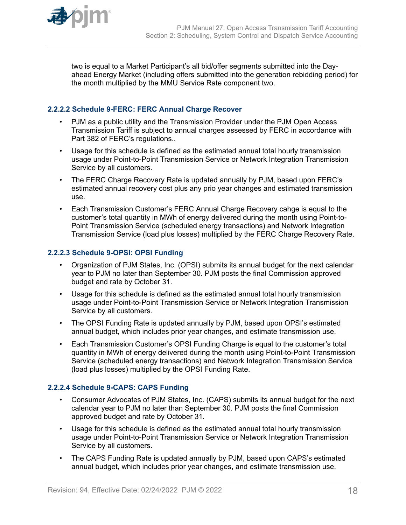<span id="page-17-0"></span>

two is equal to a Market Participant's all bid/offer segments submitted into the Dayahead Energy Market (including offers submitted into the generation rebidding period) for the month multiplied by the MMU Service Rate component two.

# **2.2.2.2 Schedule 9-FERC: FERC Annual Charge Recover**

- PJM as a public utility and the Transmission Provider under the PJM Open Access Transmission Tariff is subject to annual charges assessed by FERC in accordance with Part 382 of FERC's regulations..
- Usage for this schedule is defined as the estimated annual total hourly transmission usage under Point-to-Point Transmission Service or Network Integration Transmission Service by all customers.
- The FERC Charge Recovery Rate is updated annually by PJM, based upon FERC's estimated annual recovery cost plus any prio year changes and estimated transmission use.
- Each Transmission Customer's FERC Annual Charge Recovery cahge is equal to the customer's total quantity in MWh of energy delivered during the month using Point-to-Point Transmission Service (scheduled energy transactions) and Network Integration Transmission Service (load plus losses) multiplied by the FERC Charge Recovery Rate.

# **2.2.2.3 Schedule 9-OPSI: OPSI Funding**

- Organization of PJM States, Inc. (OPSI) submits its annual budget for the next calendar year to PJM no later than September 30. PJM posts the final Commission approved budget and rate by October 31.
- Usage for this schedule is defined as the estimated annual total hourly transmission usage under Point-to-Point Transmission Service or Network Integration Transmission Service by all customers.
- The OPSI Funding Rate is updated annually by PJM, based upon OPSI's estimated annual budget, which includes prior year changes, and estimate transmission use.
- Each Transmission Customer's OPSI Funding Charge is equal to the customer's total quantity in MWh of energy delivered during the month using Point-to-Point Transmission Service (scheduled energy transactions) and Network Integration Transmission Service (load plus losses) multiplied by the OPSI Funding Rate.

# **2.2.2.4 Schedule 9-CAPS: CAPS Funding**

- Consumer Advocates of PJM States, Inc. (CAPS) submits its annual budget for the next calendar year to PJM no later than September 30. PJM posts the final Commission approved budget and rate by October 31.
- Usage for this schedule is defined as the estimated annual total hourly transmission usage under Point-to-Point Transmission Service or Network Integration Transmission Service by all customers.
- The CAPS Funding Rate is updated annually by PJM, based upon CAPS's estimated annual budget, which includes prior year changes, and estimate transmission use.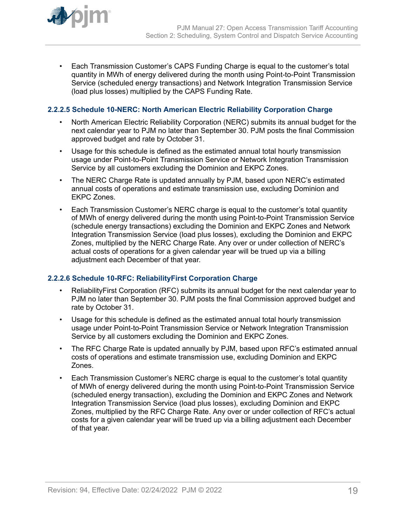<span id="page-18-0"></span>

• Each Transmission Customer's CAPS Funding Charge is equal to the customer's total quantity in MWh of energy delivered during the month using Point-to-Point Transmission Service (scheduled energy transactions) and Network Integration Transmission Service (load plus losses) multiplied by the CAPS Funding Rate.

# **2.2.2.5 Schedule 10-NERC: North American Electric Reliability Corporation Charge**

- North American Electric Reliability Corporation (NERC) submits its annual budget for the next calendar year to PJM no later than September 30. PJM posts the final Commission approved budget and rate by October 31.
- Usage for this schedule is defined as the estimated annual total hourly transmission usage under Point-to-Point Transmission Service or Network Integration Transmission Service by all customers excluding the Dominion and EKPC Zones.
- The NERC Charge Rate is updated annually by PJM, based upon NERC's estimated annual costs of operations and estimate transmission use, excluding Dominion and EKPC Zones.
- Each Transmission Customer's NERC charge is equal to the customer's total quantity of MWh of energy delivered during the month using Point-to-Point Transmission Service (schedule energy transactions) excluding the Dominion and EKPC Zones and Network Integration Transmission Service (load plus losses), excluding the Dominion and EKPC Zones, multiplied by the NERC Charge Rate. Any over or under collection of NERC's actual costs of operations for a given calendar year will be trued up via a billing adjustment each December of that year.

### **2.2.2.6 Schedule 10-RFC: ReliabilityFirst Corporation Charge**

- ReliabilityFirst Corporation (RFC) submits its annual budget for the next calendar year to PJM no later than September 30. PJM posts the final Commission approved budget and rate by October 31.
- Usage for this schedule is defined as the estimated annual total hourly transmission usage under Point-to-Point Transmission Service or Network Integration Transmission Service by all customers excluding the Dominion and EKPC Zones.
- The RFC Charge Rate is updated annually by PJM, based upon RFC's estimated annual costs of operations and estimate transmission use, excluding Dominion and EKPC Zones.
- Each Transmission Customer's NERC charge is equal to the customer's total quantity of MWh of energy delivered during the month using Point-to-Point Transmission Service (scheduled energy transaction), excluding the Dominion and EKPC Zones and Network Integration Transmission Service (load plus losses), excluding Dominion and EKPC Zones, multiplied by the RFC Charge Rate. Any over or under collection of RFC's actual costs for a given calendar year will be trued up via a billing adjustment each December of that year.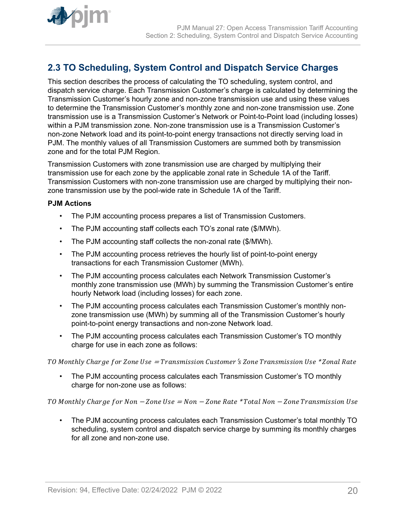<span id="page-19-0"></span>

# **2.3 TO Scheduling, System Control and Dispatch Service Charges**

This section describes the process of calculating the TO scheduling, system control, and dispatch service charge. Each Transmission Customer's charge is calculated by determining the Transmission Customer's hourly zone and non-zone transmission use and using these values to determine the Transmission Customer's monthly zone and non-zone transmission use. Zone transmission use is a Transmission Customer's Network or Point-to-Point load (including losses) within a PJM transmission zone. Non-zone transmission use is a Transmission Customer's non-zone Network load and its point-to-point energy transactions not directly serving load in PJM. The monthly values of all Transmission Customers are summed both by transmission zone and for the total PJM Region.

Transmission Customers with zone transmission use are charged by multiplying their transmission use for each zone by the applicable zonal rate in Schedule 1A of the Tariff. Transmission Customers with non-zone transmission use are charged by multiplying their nonzone transmission use by the pool-wide rate in Schedule 1A of the Tariff.

### **PJM Actions**

- The PJM accounting process prepares a list of Transmission Customers.
- The PJM accounting staff collects each TO's zonal rate (\$/MWh).
- The PJM accounting staff collects the non-zonal rate (\$/MWh).
- The PJM accounting process retrieves the hourly list of point-to-point energy transactions for each Transmission Customer (MWh).
- The PJM accounting process calculates each Network Transmission Customer's monthly zone transmission use (MWh) by summing the Transmission Customer's entire hourly Network load (including losses) for each zone.
- The PJM accounting process calculates each Transmission Customer's monthly nonzone transmission use (MWh) by summing all of the Transmission Customer's hourly point-to-point energy transactions and non-zone Network load.
- The PJM accounting process calculates each Transmission Customer's TO monthly charge for use in each zone as follows:

TO Monthly Charge for Zone Use = Transmission Customer's Zone Transmission Use \* Zonal Rate

• The PJM accounting process calculates each Transmission Customer's TO monthly charge for non-zone use as follows:

TO Monthly Charge for Non  $-Zone$  Use = Non  $-Zone$  Rate \*Total Non  $-Zone$  Transmission Use

• The PJM accounting process calculates each Transmission Customer's total monthly TO scheduling, system control and dispatch service charge by summing its monthly charges for all zone and non-zone use.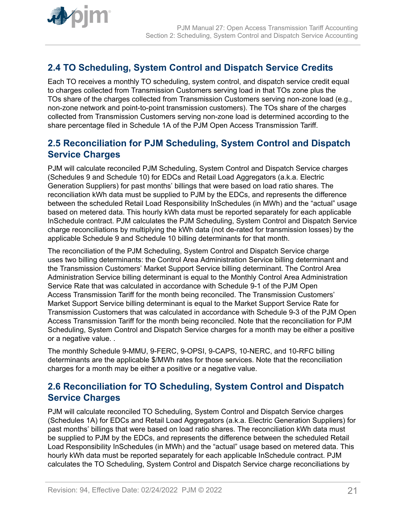# <span id="page-20-0"></span>**2.4 TO Scheduling, System Control and Dispatch Service Credits**

Each TO receives a monthly TO scheduling, system control, and dispatch service credit equal to charges collected from Transmission Customers serving load in that TOs zone plus the TOs share of the charges collected from Transmission Customers serving non-zone load (e.g., non-zone network and point-to-point transmission customers). The TOs share of the charges collected from Transmission Customers serving non-zone load is determined according to the share percentage filed in Schedule 1A of the PJM Open Access Transmission Tariff.

# **2.5 Reconciliation for PJM Scheduling, System Control and Dispatch Service Charges**

PJM will calculate reconciled PJM Scheduling, System Control and Dispatch Service charges (Schedules 9 and Schedule 10) for EDCs and Retail Load Aggregators (a.k.a. Electric Generation Suppliers) for past months' billings that were based on load ratio shares. The reconciliation kWh data must be supplied to PJM by the EDCs, and represents the difference between the scheduled Retail Load Responsibility InSchedules (in MWh) and the "actual" usage based on metered data. This hourly kWh data must be reported separately for each applicable InSchedule contract. PJM calculates the PJM Scheduling, System Control and Dispatch Service charge reconciliations by multiplying the kWh data (not de-rated for transmission losses) by the applicable Schedule 9 and Schedule 10 billing determinants for that month.

The reconciliation of the PJM Scheduling, System Control and Dispatch Service charge uses two billing determinants: the Control Area Administration Service billing determinant and the Transmission Customers' Market Support Service billing determinant. The Control Area Administration Service billing determinant is equal to the Monthly Control Area Administration Service Rate that was calculated in accordance with Schedule 9-1 of the PJM Open Access Transmission Tariff for the month being reconciled. The Transmission Customers' Market Support Service billing determinant is equal to the Market Support Service Rate for Transmission Customers that was calculated in accordance with Schedule 9-3 of the PJM Open Access Transmission Tariff for the month being reconciled. Note that the reconciliation for PJM Scheduling, System Control and Dispatch Service charges for a month may be either a positive or a negative value. .

The monthly Schedule 9-MMU, 9-FERC, 9-OPSI, 9-CAPS, 10-NERC, and 10-RFC billing determinants are the applicable \$/MWh rates for those services. Note that the reconciliation charges for a month may be either a positive or a negative value.

# **2.6 Reconciliation for TO Scheduling, System Control and Dispatch Service Charges**

PJM will calculate reconciled TO Scheduling, System Control and Dispatch Service charges (Schedules 1A) for EDCs and Retail Load Aggregators (a.k.a. Electric Generation Suppliers) for past months' billings that were based on load ratio shares. The reconciliation kWh data must be supplied to PJM by the EDCs, and represents the difference between the scheduled Retail Load Responsibility InSchedules (in MWh) and the "actual" usage based on metered data. This hourly kWh data must be reported separately for each applicable InSchedule contract. PJM calculates the TO Scheduling, System Control and Dispatch Service charge reconciliations by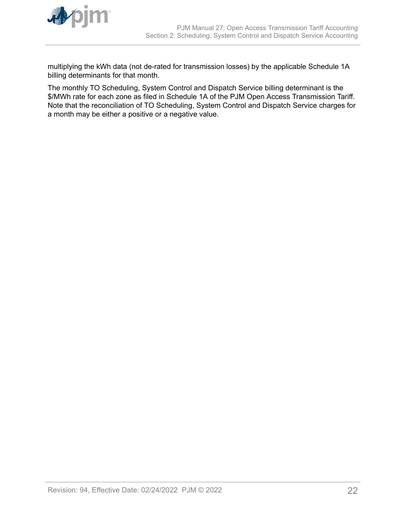

multiplying the kWh data (not de-rated for transmission losses) by the applicable Schedule 1A billing determinants for that month.

The monthly TO Scheduling, System Control and Dispatch Service billing determinant is the \$/MWh rate for each zone as filed in Schedule 1A of the PJM Open Access Transmission Tariff. Note that the reconciliation of TO Scheduling, System Control and Dispatch Service charges for a month may be either a positive or a negative value.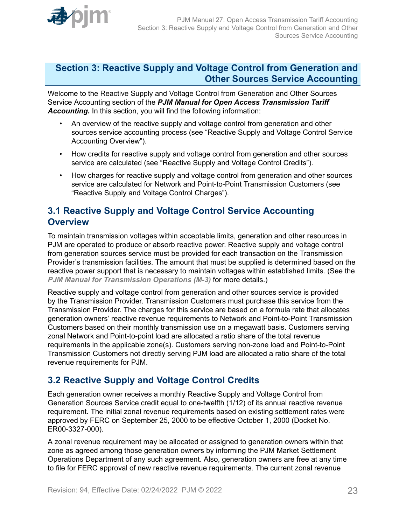<span id="page-22-0"></span>

# **Section 3: Reactive Supply and Voltage Control from Generation and Other Sources Service Accounting**

Welcome to the Reactive Supply and Voltage Control from Generation and Other Sources Service Accounting section of the *PJM Manual for Open Access Transmission Tariff Accounting.* In this section, you will find the following information:

- An overview of the reactive supply and voltage control from generation and other sources service accounting process (see "Reactive Supply and Voltage Control Service Accounting Overview").
- How credits for reactive supply and voltage control from generation and other sources service are calculated (see "Reactive Supply and Voltage Control Credits").
- How charges for reactive supply and voltage control from generation and other sources service are calculated for Network and Point-to-Point Transmission Customers (see "Reactive Supply and Voltage Control Charges").

# **3.1 Reactive Supply and Voltage Control Service Accounting Overview**

To maintain transmission voltages within acceptable limits, generation and other resources in PJM are operated to produce or absorb reactive power. Reactive supply and voltage control from generation sources service must be provided for each transaction on the Transmission Provider's transmission facilities. The amount that must be supplied is determined based on the reactive power support that is necessary to maintain voltages within established limits. (See the *[PJM Manual for Transmission Operations \(M-3\)](http://www.pjm.com/~/media/documents/manuals/m03.ashx)* for more details.)

Reactive supply and voltage control from generation and other sources service is provided by the Transmission Provider. Transmission Customers must purchase this service from the Transmission Provider. The charges for this service are based on a formula rate that allocates generation owners' reactive revenue requirements to Network and Point-to-Point Transmission Customers based on their monthly transmission use on a megawatt basis. Customers serving zonal Network and Point-to-point load are allocated a ratio share of the total revenue requirements in the applicable zone(s). Customers serving non-zone load and Point-to-Point Transmission Customers not directly serving PJM load are allocated a ratio share of the total revenue requirements for PJM.

# **3.2 Reactive Supply and Voltage Control Credits**

Each generation owner receives a monthly Reactive Supply and Voltage Control from Generation Sources Service credit equal to one-twelfth (1/12) of its annual reactive revenue requirement. The initial zonal revenue requirements based on existing settlement rates were approved by FERC on September 25, 2000 to be effective October 1, 2000 (Docket No. ER00-3327-000).

A zonal revenue requirement may be allocated or assigned to generation owners within that zone as agreed among those generation owners by informing the PJM Market Settlement Operations Department of any such agreement. Also, generation owners are free at any time to file for FERC approval of new reactive revenue requirements. The current zonal revenue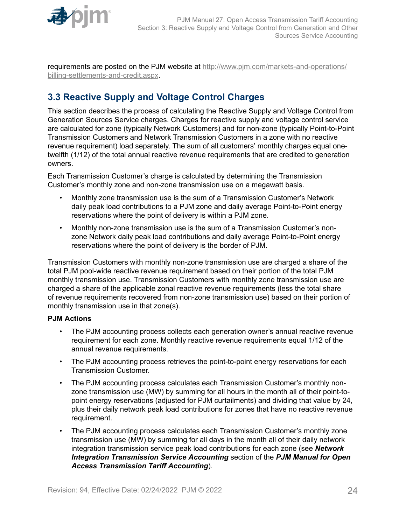<span id="page-23-0"></span>

requirements are posted on the PJM website at [http://www.pjm.com/markets-and-operations/](http://www.pjm.com/markets-and-operations/billing-settlements-and-credit.aspx) [billing-settlements-and-credit.aspx.](http://www.pjm.com/markets-and-operations/billing-settlements-and-credit.aspx)

# **3.3 Reactive Supply and Voltage Control Charges**

This section describes the process of calculating the Reactive Supply and Voltage Control from Generation Sources Service charges. Charges for reactive supply and voltage control service are calculated for zone (typically Network Customers) and for non-zone (typically Point-to-Point Transmission Customers and Network Transmission Customers in a zone with no reactive revenue requirement) load separately. The sum of all customers' monthly charges equal onetwelfth (1/12) of the total annual reactive revenue requirements that are credited to generation owners.

Each Transmission Customer's charge is calculated by determining the Transmission Customer's monthly zone and non-zone transmission use on a megawatt basis.

- Monthly zone transmission use is the sum of a Transmission Customer's Network daily peak load contributions to a PJM zone and daily average Point-to-Point energy reservations where the point of delivery is within a PJM zone.
- Monthly non-zone transmission use is the sum of a Transmission Customer's nonzone Network daily peak load contributions and daily average Point-to-Point energy reservations where the point of delivery is the border of PJM.

Transmission Customers with monthly non-zone transmission use are charged a share of the total PJM pool-wide reactive revenue requirement based on their portion of the total PJM monthly transmission use. Transmission Customers with monthly zone transmission use are charged a share of the applicable zonal reactive revenue requirements (less the total share of revenue requirements recovered from non-zone transmission use) based on their portion of monthly transmission use in that zone(s).

### **PJM Actions**

- The PJM accounting process collects each generation owner's annual reactive revenue requirement for each zone. Monthly reactive revenue requirements equal 1/12 of the annual revenue requirements.
- The PJM accounting process retrieves the point-to-point energy reservations for each Transmission Customer.
- The PJM accounting process calculates each Transmission Customer's monthly nonzone transmission use (MW) by summing for all hours in the month all of their point-topoint energy reservations (adjusted for PJM curtailments) and dividing that value by 24, plus their daily network peak load contributions for zones that have no reactive revenue requirement.
- The PJM accounting process calculates each Transmission Customer's monthly zone transmission use (MW) by summing for all days in the month all of their daily network integration transmission service peak load contributions for each zone (see *Network Integration Transmission Service Accounting* section of the *PJM Manual for Open Access Transmission Tariff Accounting*).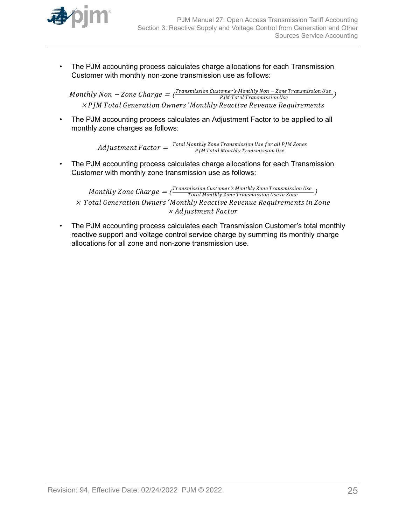

• The PJM accounting process calculates charge allocations for each Transmission Customer with monthly non-zone transmission use as follows:

 $\emph{Monthly Non}-\emph{Zone Charge}=\bar{\frac{\emph{Transmission Customer's Monthly Non}-\emph{Zone Transmission Use}}{\emph{PJM Total Transmission Use}}}\ \label{eq:1}$  $\times$  P JM Total Generation Owners  $'$ Monthly Reactive Revenue Requirements

• The PJM accounting process calculates an Adjustment Factor to be applied to all monthly zone charges as follows:

> $\emph{Adjus}$ tment  $Factor = \frac{Total\,Monthly\,Zone\,Transmission\,Use\,for\,all\,PJM\,Zones}{PJM\,Total\,Monthly\,Transmission\,Use}$ PJM Total Montℎly Transmission Use

• The PJM accounting process calculates charge allocations for each Transmission Customer with monthly zone transmission use as follows:

Monthly Zone Charge  $=$  ( $\frac{Transmission\ Customer\ 's\ Monthly\ Zone\ Transmission\ Use\ in\ Zone}$ ) <sup>×</sup> Total Generation Owners′ Montℎly Reactive Revenue Requirements in Zone × Adjustment Factor

• The PJM accounting process calculates each Transmission Customer's total monthly reactive support and voltage control service charge by summing its monthly charge allocations for all zone and non-zone transmission use.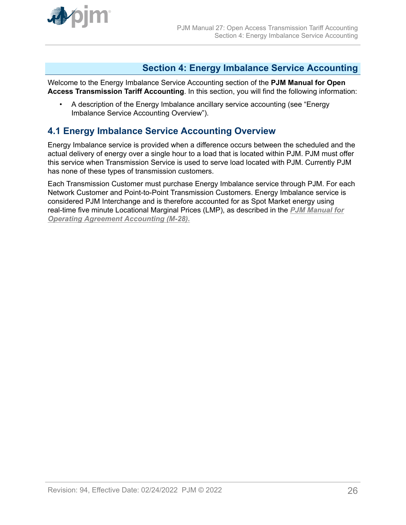<span id="page-25-0"></span>

# **Section 4: Energy Imbalance Service Accounting**

Welcome to the Energy Imbalance Service Accounting section of the **PJM Manual for Open Access Transmission Tariff Accounting**. In this section, you will find the following information:

• A description of the Energy Imbalance ancillary service accounting (see "Energy Imbalance Service Accounting Overview").

# **4.1 Energy Imbalance Service Accounting Overview**

Energy Imbalance service is provided when a difference occurs between the scheduled and the actual delivery of energy over a single hour to a load that is located within PJM. PJM must offer this service when Transmission Service is used to serve load located with PJM. Currently PJM has none of these types of transmission customers.

Each Transmission Customer must purchase Energy Imbalance service through PJM. For each Network Customer and Point-to-Point Transmission Customers. Energy Imbalance service is considered PJM Interchange and is therefore accounted for as Spot Market energy using real-time five minute Locational Marginal Prices (LMP), as described in the *[PJM Manual for](http://www.pjm.com/~/media/documents/manuals/m28.ashx) [Operating Agreement Accounting \(M-28\).](http://www.pjm.com/~/media/documents/manuals/m28.ashx)*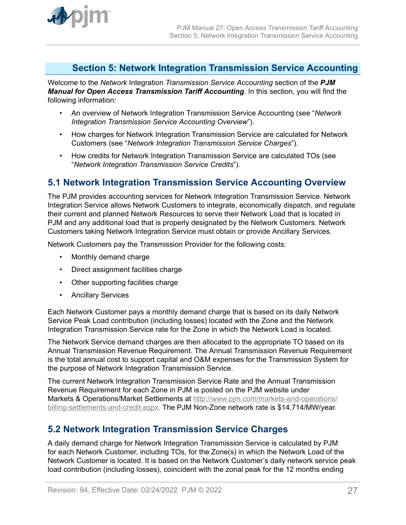<span id="page-26-0"></span>

# **Section 5: Network Integration Transmission Service Accounting**

Welcome to the *Network* Integration *Transmission Service Accounting* section of the *PJM Manual for Open Access Transmission Tariff Accounting*. In this section, you will find the following information:

- An overview of Network Integration Transmission Service Accounting (see "*Network Integration Transmission Service Accounting Overview*").
- How charges for Network Integration Transmission Service are calculated for Network Customers (see "*Network Integration Transmission Service Charges*").
- How credits for Network Integration Transmission Service are calculated TOs (see "*Network Integration Transmission Service Credits*").

# **5.1 Network Integration Transmission Service Accounting Overview**

The PJM provides accounting services for Network Integration Transmission Service. Network Integration Service allows Network Customers to integrate, economically dispatch, and regulate their current and planned Network Resources to serve their Network Load that is located in PJM and any additional load that is properly designated by the Network Customers. Network Customers taking Network Integration Service must obtain or provide Ancillary Services.

Network Customers pay the Transmission Provider for the following costs:

- Monthly demand charge
- Direct assignment facilities charge
- Other supporting facilities charge
- Ancillary Services

Each Network Customer pays a monthly demand charge that is based on its daily Network Service Peak Load contribution (including losses) located with the Zone and the Network Integration Transmission Service rate for the Zone in which the Network Load is located.

The Network Service demand charges are then allocated to the appropriate TO based on its Annual Transmission Revenue Requirement. The Annual Transmission Revenue Requirement is the total annual cost to support capital and O&M expenses for the Transmission System for the purpose of Network Integration Transmission Service.

The current Network Integration Transmission Service Rate and the Annual Transmission Revenue Requirement for each Zone in PJM is posted on the PJM website under Markets & Operations/Market Settlements at [http://www.pjm.com/markets-and-operations/](http://www.pjm.com/markets-and-operations/billing-settlements-and-credit.aspx) [billing-settlements-and-credit.aspx.](http://www.pjm.com/markets-and-operations/billing-settlements-and-credit.aspx) The PJM Non-Zone network rate is \$14,714/MW/year.

# **5.2 Network Integration Transmission Service Charges**

A daily demand charge for Network Integration Transmission Service is calculated by PJM for each Network Customer, including TOs, for the Zone(s) in which the Network Load of the Network Customer is located. It is based on the Network Customer's daily network service peak load contribution (including losses), coincident with the zonal peak for the 12 months ending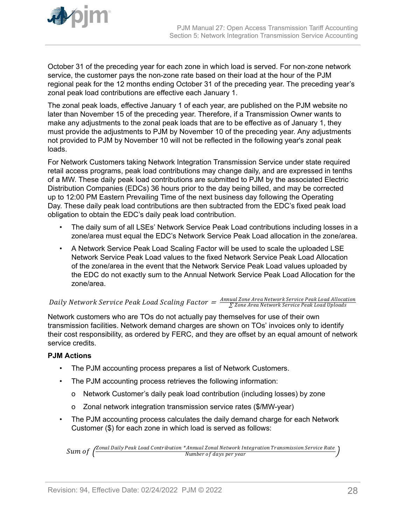

October 31 of the preceding year for each zone in which load is served. For non-zone network service, the customer pays the non-zone rate based on their load at the hour of the PJM regional peak for the 12 months ending October 31 of the preceding year. The preceding year's zonal peak load contributions are effective each January 1.

The zonal peak loads, effective January 1 of each year, are published on the PJM website no later than November 15 of the preceding year. Therefore, if a Transmission Owner wants to make any adjustments to the zonal peak loads that are to be effective as of January 1, they must provide the adjustments to PJM by November 10 of the preceding year. Any adjustments not provided to PJM by November 10 will not be reflected in the following year's zonal peak loads.

For Network Customers taking Network Integration Transmission Service under state required retail access programs, peak load contributions may change daily, and are expressed in tenths of a MW. These daily peak load contributions are submitted to PJM by the associated Electric Distribution Companies (EDCs) 36 hours prior to the day being billed, and may be corrected up to 12:00 PM Eastern Prevailing Time of the next business day following the Operating Day. These daily peak load contributions are then subtracted from the EDC's fixed peak load obligation to obtain the EDC's daily peak load contribution.

- The daily sum of all LSEs' Network Service Peak Load contributions including losses in a zone/area must equal the EDC's Network Service Peak Load allocation in the zone/area.
- A Network Service Peak Load Scaling Factor will be used to scale the uploaded LSE Network Service Peak Load values to the fixed Network Service Peak Load Allocation of the zone/area in the event that the Network Service Peak Load values uploaded by the EDC do not exactly sum to the Annual Network Service Peak Load Allocation for the zone/area.

# $Daily Network Service Peak$   $Loader = \frac{Annual\,Zone\,Area}$  Network Service Peak Load Scaling Factor  $= \frac{Annual\,Zone\,Area\,Network\,Service\,Peak\,Load\,Uboads}$

Network customers who are TOs do not actually pay themselves for use of their own transmission facilities. Network demand charges are shown on TOs' invoices only to identify their cost responsibility, as ordered by FERC, and they are offset by an equal amount of network service credits.

# **PJM Actions**

- The PJM accounting process prepares a list of Network Customers.
- The PJM accounting process retrieves the following information:
	- o Network Customer's daily peak load contribution (including losses) by zone
	- o Zonal network integration transmission service rates (\$/MW-year)
- The PJM accounting process calculates the daily demand charge for each Network Customer (\$) for each zone in which load is served as follows:

Sum of  $\left(\frac{Zonal$  Daily Peak Load Contribution \* Annual Zonal Network Integration Transmission Service Rate Number of days per year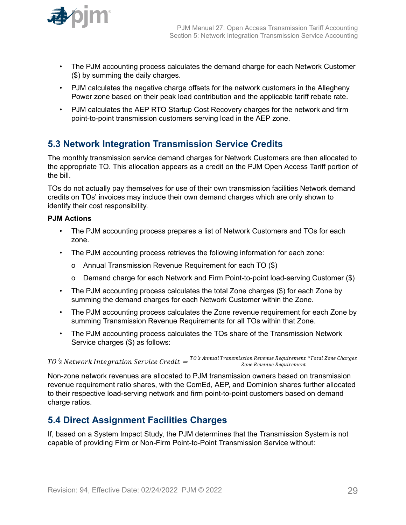<span id="page-28-0"></span>

- The PJM accounting process calculates the demand charge for each Network Customer (\$) by summing the daily charges.
- PJM calculates the negative charge offsets for the network customers in the Allegheny Power zone based on their peak load contribution and the applicable tariff rebate rate.
- PJM calculates the AEP RTO Startup Cost Recovery charges for the network and firm point-to-point transmission customers serving load in the AEP zone.

# **5.3 Network Integration Transmission Service Credits**

The monthly transmission service demand charges for Network Customers are then allocated to the appropriate TO. This allocation appears as a credit on the PJM Open Access Tariff portion of the bill.

TOs do not actually pay themselves for use of their own transmission facilities Network demand credits on TOs' invoices may include their own demand charges which are only shown to identify their cost responsibility.

### **PJM Actions**

- The PJM accounting process prepares a list of Network Customers and TOs for each zone.
- The PJM accounting process retrieves the following information for each zone:
	- o Annual Transmission Revenue Requirement for each TO (\$)
	- o Demand charge for each Network and Firm Point-to-point load-serving Customer (\$)
- The PJM accounting process calculates the total Zone charges (\$) for each Zone by summing the demand charges for each Network Customer within the Zone.
- The PJM accounting process calculates the Zone revenue requirement for each Zone by summing Transmission Revenue Requirements for all TOs within that Zone.
- The PJM accounting process calculates the TOs share of the Transmission Network Service charges (\$) as follows:

 $TO\,^\prime\!s$   $Network$   $Integration\,Service\, Credit = \frac{TO\,^\prime\!s\, Annual\,Transmission\,Revenue\,Regular\,Brenue\,Requirement} {Zone\,Chen}$ Zone Revenue Requirement

Non-zone network revenues are allocated to PJM transmission owners based on transmission revenue requirement ratio shares, with the ComEd, AEP, and Dominion shares further allocated to their respective load-serving network and firm point-to-point customers based on demand charge ratios.

# **5.4 Direct Assignment Facilities Charges**

If, based on a System Impact Study, the PJM determines that the Transmission System is not capable of providing Firm or Non-Firm Point-to-Point Transmission Service without: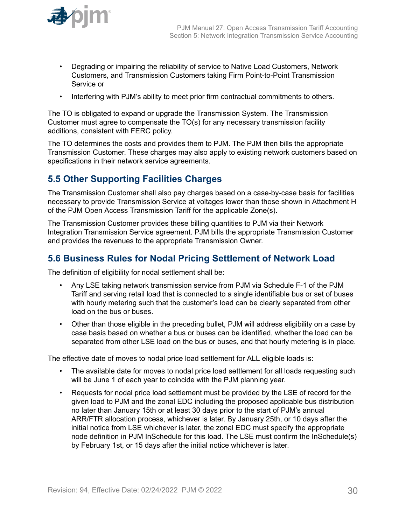- <span id="page-29-0"></span>• Degrading or impairing the reliability of service to Native Load Customers, Network Customers, and Transmission Customers taking Firm Point-to-Point Transmission Service or
- Interfering with PJM's ability to meet prior firm contractual commitments to others.

The TO is obligated to expand or upgrade the Transmission System. The Transmission Customer must agree to compensate the TO(s) for any necessary transmission facility additions, consistent with FERC policy.

The TO determines the costs and provides them to PJM. The PJM then bills the appropriate Transmission Customer. These charges may also apply to existing network customers based on specifications in their network service agreements.

# **5.5 Other Supporting Facilities Charges**

The Transmission Customer shall also pay charges based on a case-by-case basis for facilities necessary to provide Transmission Service at voltages lower than those shown in Attachment H of the PJM Open Access Transmission Tariff for the applicable Zone(s).

The Transmission Customer provides these billing quantities to PJM via their Network Integration Transmission Service agreement. PJM bills the appropriate Transmission Customer and provides the revenues to the appropriate Transmission Owner.

# **5.6 Business Rules for Nodal Pricing Settlement of Network Load**

The definition of eligibility for nodal settlement shall be:

- Any LSE taking network transmission service from PJM via Schedule F-1 of the PJM Tariff and serving retail load that is connected to a single identifiable bus or set of buses with hourly metering such that the customer's load can be clearly separated from other load on the bus or buses.
- Other than those eligible in the preceding bullet, PJM will address eligibility on a case by case basis based on whether a bus or buses can be identified, whether the load can be separated from other LSE load on the bus or buses, and that hourly metering is in place.

The effective date of moves to nodal price load settlement for ALL eligible loads is:

- The available date for moves to nodal price load settlement for all loads requesting such will be June 1 of each year to coincide with the PJM planning year.
- Requests for nodal price load settlement must be provided by the LSE of record for the given load to PJM and the zonal EDC including the proposed applicable bus distribution no later than January 15th or at least 30 days prior to the start of PJM's annual ARR/FTR allocation process, whichever is later. By January 25th, or 10 days after the initial notice from LSE whichever is later, the zonal EDC must specify the appropriate node definition in PJM InSchedule for this load. The LSE must confirm the InSchedule(s) by February 1st, or 15 days after the initial notice whichever is later.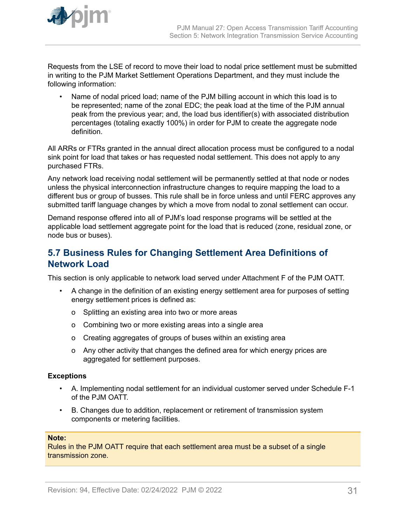<span id="page-30-0"></span>

Requests from the LSE of record to move their load to nodal price settlement must be submitted in writing to the PJM Market Settlement Operations Department, and they must include the following information:

• Name of nodal priced load; name of the PJM billing account in which this load is to be represented; name of the zonal EDC; the peak load at the time of the PJM annual peak from the previous year; and, the load bus identifier(s) with associated distribution percentages (totaling exactly 100%) in order for PJM to create the aggregate node definition.

All ARRs or FTRs granted in the annual direct allocation process must be configured to a nodal sink point for load that takes or has requested nodal settlement. This does not apply to any purchased FTRs.

Any network load receiving nodal settlement will be permanently settled at that node or nodes unless the physical interconnection infrastructure changes to require mapping the load to a different bus or group of busses. This rule shall be in force unless and until FERC approves any submitted tariff language changes by which a move from nodal to zonal settlement can occur.

Demand response offered into all of PJM's load response programs will be settled at the applicable load settlement aggregate point for the load that is reduced (zone, residual zone, or node bus or buses).

# **5.7 Business Rules for Changing Settlement Area Definitions of Network Load**

This section is only applicable to network load served under Attachment F of the PJM OATT.

- A change in the definition of an existing energy settlement area for purposes of setting energy settlement prices is defined as:
	- o Splitting an existing area into two or more areas
	- o Combining two or more existing areas into a single area
	- o Creating aggregates of groups of buses within an existing area
	- o Any other activity that changes the defined area for which energy prices are aggregated for settlement purposes.

### **Exceptions**

- A. Implementing nodal settlement for an individual customer served under Schedule F-1 of the PJM OATT.
- B. Changes due to addition, replacement or retirement of transmission system components or metering facilities.

#### **Note:**

Rules in the PJM OATT require that each settlement area must be a subset of a single transmission zone.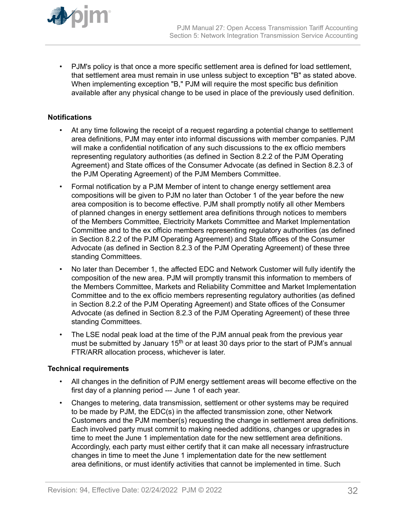

• PJM's policy is that once a more specific settlement area is defined for load settlement, that settlement area must remain in use unless subject to exception "B" as stated above. When implementing exception "B," PJM will require the most specific bus definition available after any physical change to be used in place of the previously used definition.

### **Notifications**

- At any time following the receipt of a request regarding a potential change to settlement area definitions, PJM may enter into informal discussions with member companies. PJM will make a confidential notification of any such discussions to the ex officio members representing regulatory authorities (as defined in Section 8.2.2 of the PJM Operating Agreement) and State offices of the Consumer Advocate (as defined in Section 8.2.3 of the PJM Operating Agreement) of the PJM Members Committee.
- Formal notification by a PJM Member of intent to change energy settlement area compositions will be given to PJM no later than October 1 of the year before the new area composition is to become effective. PJM shall promptly notify all other Members of planned changes in energy settlement area definitions through notices to members of the Members Committee, Electricity Markets Committee and Market Implementation Committee and to the ex officio members representing regulatory authorities (as defined in Section 8.2.2 of the PJM Operating Agreement) and State offices of the Consumer Advocate (as defined in Section 8.2.3 of the PJM Operating Agreement) of these three standing Committees.
- No later than December 1, the affected EDC and Network Customer will fully identify the composition of the new area. PJM will promptly transmit this information to members of the Members Committee, Markets and Reliability Committee and Market Implementation Committee and to the ex officio members representing regulatory authorities (as defined in Section 8.2.2 of the PJM Operating Agreement) and State offices of the Consumer Advocate (as defined in Section 8.2.3 of the PJM Operating Agreement) of these three standing Committees.
- The LSE nodal peak load at the time of the PJM annual peak from the previous year must be submitted by January 15<sup>th</sup> or at least 30 days prior to the start of PJM's annual FTR/ARR allocation process, whichever is later.

### **Technical requirements**

- All changes in the definition of PJM energy settlement areas will become effective on the first day of a planning period --- June 1 of each year.
- Changes to metering, data transmission, settlement or other systems may be required to be made by PJM, the EDC(s) in the affected transmission zone, other Network Customers and the PJM member(s) requesting the change in settlement area definitions. Each involved party must commit to making needed additions, changes or upgrades in time to meet the June 1 implementation date for the new settlement area definitions. Accordingly, each party must either certify that it can make all necessary infrastructure changes in time to meet the June 1 implementation date for the new settlement area definitions, or must identify activities that cannot be implemented in time. Such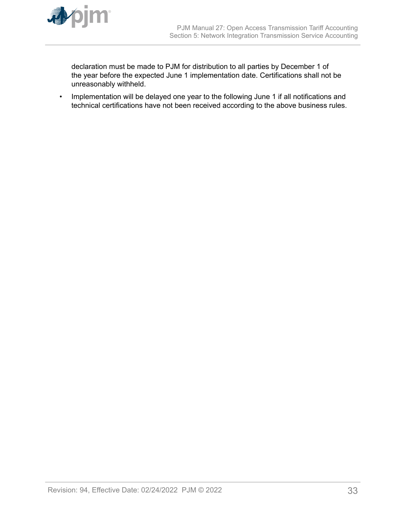

declaration must be made to PJM for distribution to all parties by December 1 of the year before the expected June 1 implementation date. Certifications shall not be unreasonably withheld.

• Implementation will be delayed one year to the following June 1 if all notifications and technical certifications have not been received according to the above business rules.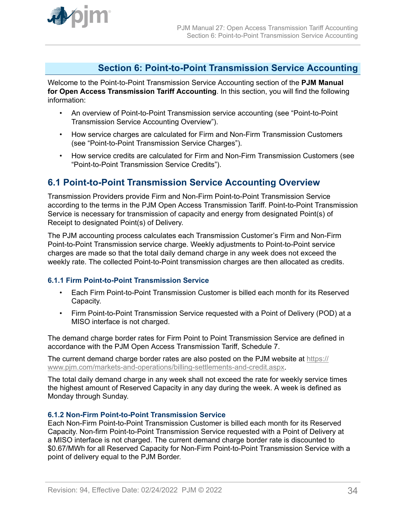<span id="page-33-0"></span>

# **Section 6: Point-to-Point Transmission Service Accounting**

Welcome to the Point-to-Point Transmission Service Accounting section of the **PJM Manual for Open Access Transmission Tariff Accounting**. In this section, you will find the following information:

- An overview of Point-to-Point Transmission service accounting (see "Point-to-Point Transmission Service Accounting Overview").
- How service charges are calculated for Firm and Non-Firm Transmission Customers (see "Point-to-Point Transmission Service Charges").
- How service credits are calculated for Firm and Non-Firm Transmission Customers (see "Point-to-Point Transmission Service Credits").

# **6.1 Point-to-Point Transmission Service Accounting Overview**

Transmission Providers provide Firm and Non-Firm Point-to-Point Transmission Service according to the terms in the PJM Open Access Transmission Tariff. Point-to-Point Transmission Service is necessary for transmission of capacity and energy from designated Point(s) of Receipt to designated Point(s) of Delivery.

The PJM accounting process calculates each Transmission Customer's Firm and Non-Firm Point-to-Point Transmission service charge. Weekly adjustments to Point-to-Point service charges are made so that the total daily demand charge in any week does not exceed the weekly rate. The collected Point-to-Point transmission charges are then allocated as credits.

### **6.1.1 Firm Point-to-Point Transmission Service**

- Each Firm Point-to-Point Transmission Customer is billed each month for its Reserved Capacity.
- Firm Point-to-Point Transmission Service requested with a Point of Delivery (POD) at a MISO interface is not charged.

The demand charge border rates for Firm Point to Point Transmission Service are defined in accordance with the PJM Open Access Transmission Tariff, Schedule 7.

The current demand charge border rates are also posted on the PJM website at [https://](https://www.pjm.com/markets-and-operations/billing-settlements-and-credit.aspx) [www.pjm.com/markets-and-operations/billing-settlements-and-credit.aspx](https://www.pjm.com/markets-and-operations/billing-settlements-and-credit.aspx).

The total daily demand charge in any week shall not exceed the rate for weekly service times the highest amount of Reserved Capacity in any day during the week. A week is defined as Monday through Sunday.

### **6.1.2 Non-Firm Point-to-Point Transmission Service**

Each Non-Firm Point-to-Point Transmission Customer is billed each month for its Reserved Capacity. Non-firm Point-to-Point Transmission Service requested with a Point of Delivery at a MISO interface is not charged. The current demand charge border rate is discounted to \$0.67/MWh for all Reserved Capacity for Non-Firm Point-to-Point Transmission Service with a point of delivery equal to the PJM Border.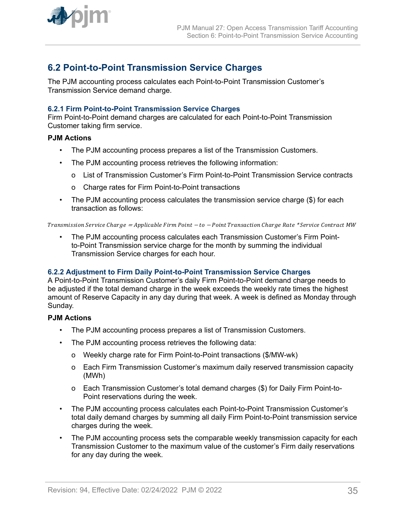<span id="page-34-0"></span>

# **6.2 Point-to-Point Transmission Service Charges**

The PJM accounting process calculates each Point-to-Point Transmission Customer's Transmission Service demand charge.

### **6.2.1 Firm Point-to-Point Transmission Service Charges**

Firm Point-to-Point demand charges are calculated for each Point-to-Point Transmission Customer taking firm service.

#### **PJM Actions**

- The PJM accounting process prepares a list of the Transmission Customers.
- The PJM accounting process retrieves the following information:
	- o List of Transmission Customer's Firm Point-to-Point Transmission Service contracts
	- o Charge rates for Firm Point-to-Point transactions
- The PJM accounting process calculates the transmission service charge (\$) for each transaction as follows:

Transmission Service Cℎarge <sup>=</sup> Applicable Firm Point <sup>−</sup> to <sup>−</sup> Point Transaction Cℎarge Rate \* Service Contract MW

• The PJM accounting process calculates each Transmission Customer's Firm Pointto-Point Transmission service charge for the month by summing the individual Transmission Service charges for each hour.

#### **6.2.2 Adjustment to Firm Daily Point-to-Point Transmission Service Charges**

A Point-to-Point Transmission Customer's daily Firm Point-to-Point demand charge needs to be adjusted if the total demand charge in the week exceeds the weekly rate times the highest amount of Reserve Capacity in any day during that week. A week is defined as Monday through Sunday.

#### **PJM Actions**

- The PJM accounting process prepares a list of Transmission Customers.
- The PJM accounting process retrieves the following data:
	- o Weekly charge rate for Firm Point-to-Point transactions (\$/MW-wk)
	- o Each Firm Transmission Customer's maximum daily reserved transmission capacity (MWh)
	- o Each Transmission Customer's total demand charges (\$) for Daily Firm Point-to-Point reservations during the week.
- The PJM accounting process calculates each Point-to-Point Transmission Customer's total daily demand charges by summing all daily Firm Point-to-Point transmission service charges during the week.
- The PJM accounting process sets the comparable weekly transmission capacity for each Transmission Customer to the maximum value of the customer's Firm daily reservations for any day during the week.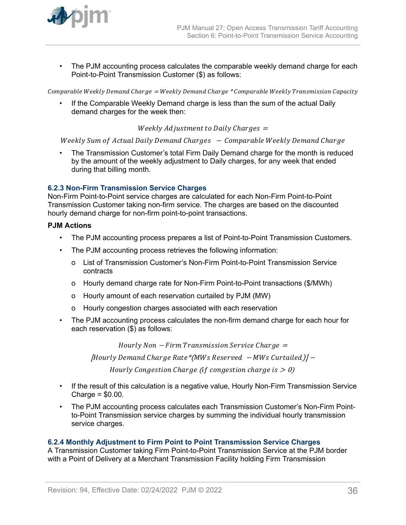<span id="page-35-0"></span>

• The PJM accounting process calculates the comparable weekly demand charge for each Point-to-Point Transmission Customer (\$) as follows:

Comparable Weekly Demand Charge = Weekly Demand Charge \* Comparable Weekly Transmission Capacity

If the Comparable Weekly Demand charge is less than the sum of the actual Daily demand charges for the week then:

Weekly Adjustment to Daily Charges  $=$ 

Weekly Sum of Actual Daily Demand Charges - Comparable Weekly Demand Charge

• The Transmission Customer's total Firm Daily Demand charge for the month is reduced by the amount of the weekly adjustment to Daily charges, for any week that ended during that billing month.

#### **6.2.3 Non-Firm Transmission Service Charges**

Non-Firm Point-to-Point service charges are calculated for each Non-Firm Point-to-Point Transmission Customer taking non-firm service. The charges are based on the discounted hourly demand charge for non-firm point-to-point transactions.

#### **PJM Actions**

- The PJM accounting process prepares a list of Point-to-Point Transmission Customers.
- The PJM accounting process retrieves the following information:
	- o List of Transmission Customer's Non-Firm Point-to-Point Transmission Service contracts
	- o Hourly demand charge rate for Non-Firm Point-to-Point transactions (\$/MWh)
	- o Hourly amount of each reservation curtailed by PJM (MW)
	- o Hourly congestion charges associated with each reservation
- The PJM accounting process calculates the non-firm demand charge for each hour for each reservation (\$) as follows:

 $Hourly Non-Firm Transmission Service Charge =$ 

Hourly Demand Cℎarge Rate\* MWs Reserved <sup>−</sup> MWs Curtailed <sup>−</sup>

Hourly Congestion Charge (if congestion charge is  $> 0$ )

- If the result of this calculation is a negative value, Hourly Non-Firm Transmission Service Charge = \$0.00.
- The PJM accounting process calculates each Transmission Customer's Non-Firm Pointto-Point Transmission service charges by summing the individual hourly transmission service charges.

#### **6.2.4 Monthly Adjustment to Firm Point to Point Transmission Service Charges**

A Transmission Customer taking Firm Point-to-Point Transmission Service at the PJM border with a Point of Delivery at a Merchant Transmission Facility holding Firm Transmission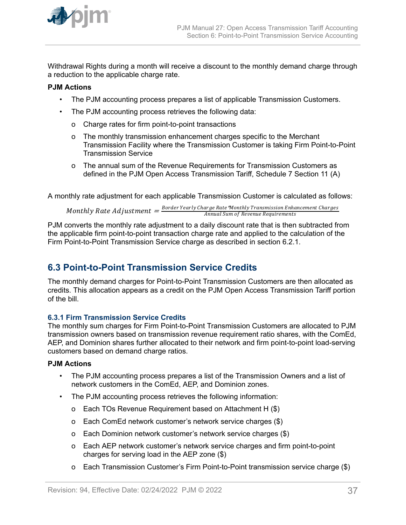<span id="page-36-0"></span>

Withdrawal Rights during a month will receive a discount to the monthly demand charge through a reduction to the applicable charge rate.

### **PJM Actions**

- The PJM accounting process prepares a list of applicable Transmission Customers.
- The PJM accounting process retrieves the following data:
	- o Charge rates for firm point-to-point transactions
	- o The monthly transmission enhancement charges specific to the Merchant Transmission Facility where the Transmission Customer is taking Firm Point-to-Point Transmission Service
	- o The annual sum of the Revenue Requirements for Transmission Customers as defined in the PJM Open Access Transmission Tariff, Schedule 7 Section 11 (A)

A monthly rate adjustment for each applicable Transmission Customer is calculated as follows:

Monthly Rate Adjustment  $=\frac{Border\,Year}$ Charge Rate\*Monthly Transmission Enhancement Charges<br>Annual Sum of Revenue Requirements Annual Sum of Revenue Requirements

PJM converts the monthly rate adjustment to a daily discount rate that is then subtracted from the applicable firm point-to-point transaction charge rate and applied to the calculation of the Firm Point-to-Point Transmission Service charge as described in section 6.2.1.

# **6.3 Point-to-Point Transmission Service Credits**

The monthly demand charges for Point-to-Point Transmission Customers are then allocated as credits. This allocation appears as a credit on the PJM Open Access Transmission Tariff portion of the bill.

# **6.3.1 Firm Transmission Service Credits**

The monthly sum charges for Firm Point-to-Point Transmission Customers are allocated to PJM transmission owners based on transmission revenue requirement ratio shares, with the ComEd, AEP, and Dominion shares further allocated to their network and firm point-to-point load-serving customers based on demand charge ratios.

### **PJM Actions**

- The PJM accounting process prepares a list of the Transmission Owners and a list of network customers in the ComEd, AEP, and Dominion zones.
- The PJM accounting process retrieves the following information:
	- o Each TOs Revenue Requirement based on Attachment H (\$)
	- o Each ComEd network customer's network service charges (\$)
	- o Each Dominion network customer's network service charges (\$)
	- o Each AEP network customer's network service charges and firm point-to-point charges for serving load in the AEP zone (\$)
	- o Each Transmission Customer's Firm Point-to-Point transmission service charge (\$)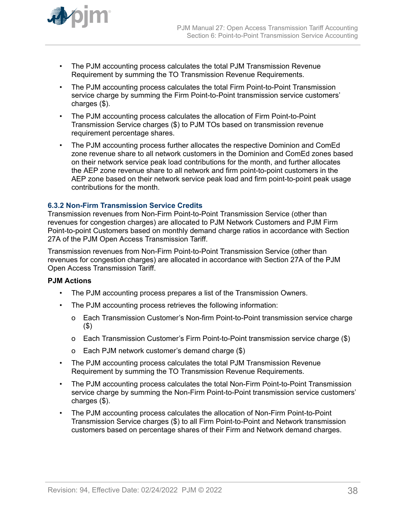<span id="page-37-0"></span>

- The PJM accounting process calculates the total PJM Transmission Revenue Requirement by summing the TO Transmission Revenue Requirements.
- The PJM accounting process calculates the total Firm Point-to-Point Transmission service charge by summing the Firm Point-to-Point transmission service customers' charges (\$).
- The PJM accounting process calculates the allocation of Firm Point-to-Point Transmission Service charges (\$) to PJM TOs based on transmission revenue requirement percentage shares.
- The PJM accounting process further allocates the respective Dominion and ComEd zone revenue share to all network customers in the Dominion and ComEd zones based on their network service peak load contributions for the month, and further allocates the AEP zone revenue share to all network and firm point-to-point customers in the AEP zone based on their network service peak load and firm point-to-point peak usage contributions for the month.

### **6.3.2 Non-Firm Transmission Service Credits**

Transmission revenues from Non-Firm Point-to-Point Transmission Service (other than revenues for congestion charges) are allocated to PJM Network Customers and PJM Firm Point-to-point Customers based on monthly demand charge ratios in accordance with Section 27A of the PJM Open Access Transmission Tariff.

Transmission revenues from Non-Firm Point-to-Point Transmission Service (other than revenues for congestion charges) are allocated in accordance with Section 27A of the PJM Open Access Transmission Tariff.

### **PJM Actions**

- The PJM accounting process prepares a list of the Transmission Owners.
- The PJM accounting process retrieves the following information:
	- o Each Transmission Customer's Non-firm Point-to-Point transmission service charge (\$)
	- o Each Transmission Customer's Firm Point-to-Point transmission service charge (\$)
	- o Each PJM network customer's demand charge (\$)
- The PJM accounting process calculates the total PJM Transmission Revenue Requirement by summing the TO Transmission Revenue Requirements.
- The PJM accounting process calculates the total Non-Firm Point-to-Point Transmission service charge by summing the Non-Firm Point-to-Point transmission service customers' charges (\$).
- The PJM accounting process calculates the allocation of Non-Firm Point-to-Point Transmission Service charges (\$) to all Firm Point-to-Point and Network transmission customers based on percentage shares of their Firm and Network demand charges.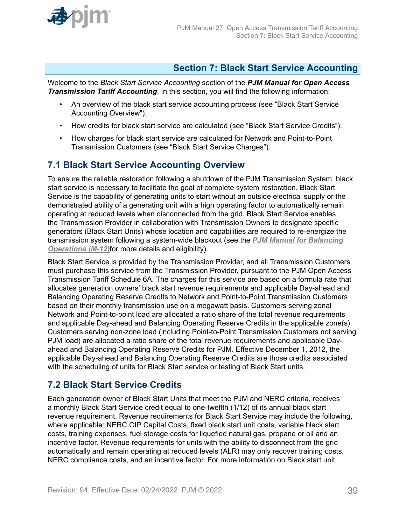<span id="page-38-0"></span>

# **Section 7: Black Start Service Accounting**

Welcome to the *Black Start Service Accounting* section of the *PJM Manual for Open Access Transmission Tariff Accounting*. In this section, you will find the following information:

- An overview of the black start service accounting process (see "Black Start Service Accounting Overview").
- How credits for black start service are calculated (see "Black Start Service Credits").
- How charges for black start service are calculated for Network and Point-to-Point Transmission Customers (see "Black Start Service Charges").

# **7.1 Black Start Service Accounting Overview**

To ensure the reliable restoration following a shutdown of the PJM Transmission System, black start service is necessary to facilitate the goal of complete system restoration. Black Start Service is the capability of generating units to start without an outside electrical supply or the demonstrated ability of a generating unit with a high operating factor to automatically remain operating at reduced levels when disconnected from the grid. Black Start Service enables the Transmission Provider in collaboration with Transmission Owners to designate specific generators (Black Start Units) whose location and capabilities are required to re-energize the transmission system following a system-wide blackout (see the *[PJM Manual for Balancing](http://www.pjm.com/~/media/documents/manuals/m12.ashx) [Operations \(M-12\)](http://www.pjm.com/~/media/documents/manuals/m12.ashx)*for more details and eligibility).

Black Start Service is provided by the Transmission Provider, and all Transmission Customers must purchase this service from the Transmission Provider, pursuant to the PJM Open Access Transmission Tariff Schedule 6A. The charges for this service are based on a formula rate that allocates generation owners' black start revenue requirements and applicable Day-ahead and Balancing Operating Reserve Credits to Network and Point-to-Point Transmission Customers based on their monthly transmission use on a megawatt basis. Customers serving zonal Network and Point-to-point load are allocated a ratio share of the total revenue requirements and applicable Day-ahead and Balancing Operating Reserve Credits in the applicable zone(s). Customers serving non-zone load (including Point-to-Point Transmission Customers not serving PJM load) are allocated a ratio share of the total revenue requirements and applicable Dayahead and Balancing Operating Reserve Credits for PJM. Effective December 1, 2012, the applicable Day-ahead and Balancing Operating Reserve Credits are those credits associated with the scheduling of units for Black Start service or testing of Black Start units.

# **7.2 Black Start Service Credits**

Each generation owner of Black Start Units that meet the PJM and NERC criteria, receives a monthly Black Start Service credit equal to one-twelfth (1/12) of its annual black start revenue requirement. Revenue requirements for Black Start Service may include the following, where applicable: NERC CIP Capital Costs, fixed black start unit costs, variable black start costs, training expenses, fuel storage costs for liquefied natural gas, propane or oil and an incentive factor. Revenue requirements for units with the ability to disconnect from the grid automatically and remain operating at reduced levels (ALR) may only recover training costs, NERC compliance costs, and an incentive factor. For more information on Black start unit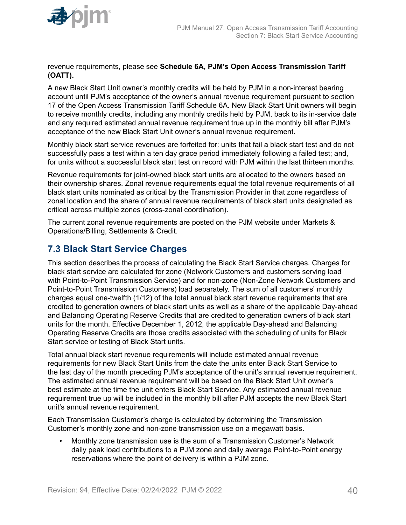<span id="page-39-0"></span>

revenue requirements, please see **Schedule 6A, PJM's Open Access Transmission Tariff (OATT).**

A new Black Start Unit owner's monthly credits will be held by PJM in a non-interest bearing account until PJM's acceptance of the owner's annual revenue requirement pursuant to section 17 of the Open Access Transmission Tariff Schedule 6A. New Black Start Unit owners will begin to receive monthly credits, including any monthly credits held by PJM, back to its in-service date and any required estimated annual revenue requirement true up in the monthly bill after PJM's acceptance of the new Black Start Unit owner's annual revenue requirement.

Monthly black start service revenues are forfeited for: units that fail a black start test and do not successfully pass a test within a ten day grace period immediately following a failed test; and, for units without a successful black start test on record with PJM within the last thirteen months.

Revenue requirements for joint-owned black start units are allocated to the owners based on their ownership shares. Zonal revenue requirements equal the total revenue requirements of all black start units nominated as critical by the Transmission Provider in that zone regardless of zonal location and the share of annual revenue requirements of black start units designated as critical across multiple zones (cross-zonal coordination).

The current zonal revenue requirements are posted on the PJM website under Markets & Operations/Billing, Settlements & Credit.

# **7.3 Black Start Service Charges**

This section describes the process of calculating the Black Start Service charges. Charges for black start service are calculated for zone (Network Customers and customers serving load with Point-to-Point Transmission Service) and for non-zone (Non-Zone Network Customers and Point-to-Point Transmission Customers) load separately. The sum of all customers' monthly charges equal one-twelfth (1/12) of the total annual black start revenue requirements that are credited to generation owners of black start units as well as a share of the applicable Day-ahead and Balancing Operating Reserve Credits that are credited to generation owners of black start units for the month. Effective December 1, 2012, the applicable Day-ahead and Balancing Operating Reserve Credits are those credits associated with the scheduling of units for Black Start service or testing of Black Start units.

Total annual black start revenue requirements will include estimated annual revenue requirements for new Black Start Units from the date the units enter Black Start Service to the last day of the month preceding PJM's acceptance of the unit's annual revenue requirement. The estimated annual revenue requirement will be based on the Black Start Unit owner's best estimate at the time the unit enters Black Start Service. Any estimated annual revenue requirement true up will be included in the monthly bill after PJM accepts the new Black Start unit's annual revenue requirement.

Each Transmission Customer's charge is calculated by determining the Transmission Customer's monthly zone and non-zone transmission use on a megawatt basis.

• Monthly zone transmission use is the sum of a Transmission Customer's Network daily peak load contributions to a PJM zone and daily average Point-to-Point energy reservations where the point of delivery is within a PJM zone.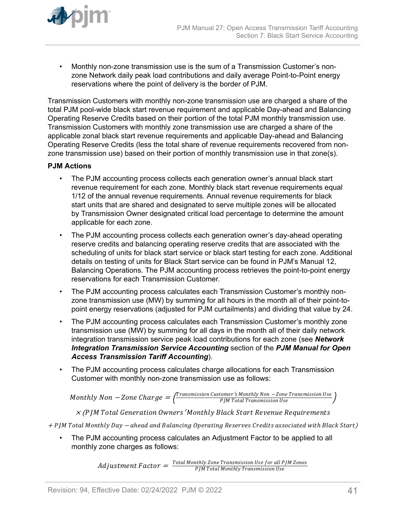

• Monthly non-zone transmission use is the sum of a Transmission Customer's nonzone Network daily peak load contributions and daily average Point-to-Point energy reservations where the point of delivery is the border of PJM.

Transmission Customers with monthly non-zone transmission use are charged a share of the total PJM pool-wide black start revenue requirement and applicable Day-ahead and Balancing Operating Reserve Credits based on their portion of the total PJM monthly transmission use. Transmission Customers with monthly zone transmission use are charged a share of the applicable zonal black start revenue requirements and applicable Day-ahead and Balancing Operating Reserve Credits (less the total share of revenue requirements recovered from nonzone transmission use) based on their portion of monthly transmission use in that zone(s).

# **PJM Actions**

- The PJM accounting process collects each generation owner's annual black start revenue requirement for each zone. Monthly black start revenue requirements equal 1/12 of the annual revenue requirements. Annual revenue requirements for black start units that are shared and designated to serve multiple zones will be allocated by Transmission Owner designated critical load percentage to determine the amount applicable for each zone.
- The PJM accounting process collects each generation owner's day-ahead operating reserve credits and balancing operating reserve credits that are associated with the scheduling of units for black start service or black start testing for each zone. Additional details on testing of units for Black Start service can be found in PJM's Manual 12, Balancing Operations. The PJM accounting process retrieves the point-to-point energy reservations for each Transmission Customer.
- The PJM accounting process calculates each Transmission Customer's monthly nonzone transmission use (MW) by summing for all hours in the month all of their point-topoint energy reservations (adjusted for PJM curtailments) and dividing that value by 24.
- The PJM accounting process calculates each Transmission Customer's monthly zone transmission use (MW) by summing for all days in the month all of their daily network integration transmission service peak load contributions for each zone (see *Network Integration Transmission Service Accounting* section of the *PJM Manual for Open Access Transmission Tariff Accounting*).
- The PJM accounting process calculates charge allocations for each Transmission Customer with monthly non-zone transmission use as follows:

 $\emph{Monthly Non}-\emph{Zone Charge}=\frac{\emph{Transmission Customer's Monthly Non}-\emph{Zone Transmission Use}}{\emph{PIM Total Transmission Use}}$ PJM Total Transmission Use

 $X$  (P JM Total Generation Owners' Monthly Black Start Revenue Requirements

<sup>+</sup>PJM Total Montℎly Day <sup>−</sup> aℎead and Balancing Operating Reserves Credits associated witℎ Black Start)

• The PJM accounting process calculates an Adjustment Factor to be applied to all monthly zone charges as follows:

> $\emph{Adjustument Factor} = \frac{\emph{Total Monthly} \emph{Zone} \emph{Transmission Use} \emph{for all PJM} \emph{Zones}}{\emph{PJM Total Monthly} \emph{Transmission Use}}$ PJM Total Montℎly Transmission Use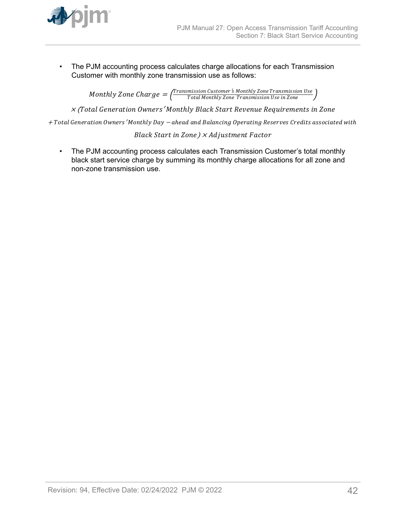

• The PJM accounting process calculates charge allocations for each Transmission Customer with monthly zone transmission use as follows:

> $\emph{Monthly}$   $\emph{Zone}$   $\emph{Charge} = \frac{\emph{Transmission Customer's Monthly} }{\emph{Total Monthly} }$   $\emph{Zone}$   $\emph{Transmission Use in}$   $\emph{Zone}$ Total Montℎly Zone Transmission Use in Zone

<sup>×</sup> (Total Generation Owners′ Montℎly Black Start Revenue Requirements in Zone

<sup>+</sup>Total Generation Owners′ Montℎly Day <sup>−</sup> aℎead and Balancing Operating Reserves Credits associated witℎ

Black Start in Zone)  $\times$  Ad justment Factor

• The PJM accounting process calculates each Transmission Customer's total monthly black start service charge by summing its monthly charge allocations for all zone and non-zone transmission use.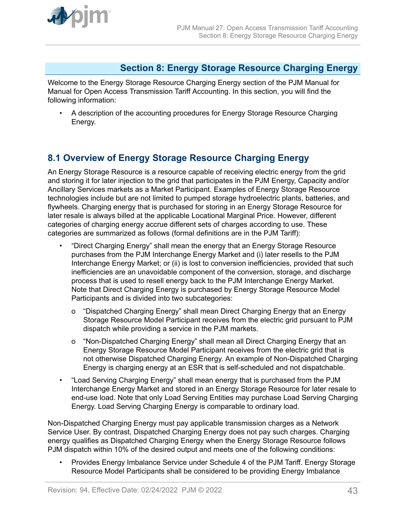<span id="page-42-0"></span>

# **Section 8: Energy Storage Resource Charging Energy**

Welcome to the Energy Storage Resource Charging Energy section of the PJM Manual for Manual for Open Access Transmission Tariff Accounting. In this section, you will find the following information:

• A description of the accounting procedures for Energy Storage Resource Charging Energy.

# **8.1 Overview of Energy Storage Resource Charging Energy**

An Energy Storage Resource is a resource capable of receiving electric energy from the grid and storing it for later injection to the grid that participates in the PJM Energy, Capacity and/or Ancillary Services markets as a Market Participant. Examples of Energy Storage Resource technologies include but are not limited to pumped storage hydroelectric plants, batteries, and flywheels. Charging energy that is purchased for storing in an Energy Storage Resource for later resale is always billed at the applicable Locational Marginal Price. However, different categories of charging energy accrue different sets of charges according to use. These categories are summarized as follows (formal definitions are in the PJM Tariff):

- "Direct Charging Energy" shall mean the energy that an Energy Storage Resource purchases from the PJM Interchange Energy Market and (i) later resells to the PJM Interchange Energy Market; or (ii) is lost to conversion inefficiencies, provided that such inefficiencies are an unavoidable component of the conversion, storage, and discharge process that is used to resell energy back to the PJM Interchange Energy Market. Note that Direct Charging Energy is purchased by Energy Storage Resource Model Participants and is divided into two subcategories:
	- o "Dispatched Charging Energy" shall mean Direct Charging Energy that an Energy Storage Resource Model Participant receives from the electric grid pursuant to PJM dispatch while providing a service in the PJM markets.
	- o "Non-Dispatched Charging Energy" shall mean all Direct Charging Energy that an Energy Storage Resource Model Participant receives from the electric grid that is not otherwise Dispatched Charging Energy. An example of Non-Dispatched Charging Energy is charging energy at an ESR that is self-scheduled and not dispatchable.
- "Load Serving Charging Energy" shall mean energy that is purchased from the PJM Interchange Energy Market and stored in an Energy Storage Resource for later resale to end-use load. Note that only Load Serving Entities may purchase Load Serving Charging Energy. Load Serving Charging Energy is comparable to ordinary load.

Non-Dispatched Charging Energy must pay applicable transmission charges as a Network Service User. By contrast, Dispatched Charging Energy does not pay such charges. Charging energy qualifies as Dispatched Charging Energy when the Energy Storage Resource follows PJM dispatch within 10% of the desired output and meets one of the following conditions:

• Provides Energy Imbalance Service under Schedule 4 of the PJM Tariff. Energy Storage Resource Model Participants shall be considered to be providing Energy Imbalance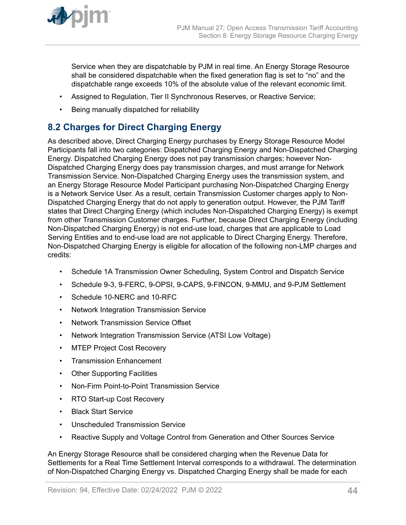<span id="page-43-0"></span>

Service when they are dispatchable by PJM in real time. An Energy Storage Resource shall be considered dispatchable when the fixed generation flag is set to "no" and the dispatchable range exceeds 10% of the absolute value of the relevant economic limit.

- Assigned to Regulation, Tier II Synchronous Reserves, or Reactive Service;
- Being manually dispatched for reliability

# **8.2 Charges for Direct Charging Energy**

As described above, Direct Charging Energy purchases by Energy Storage Resource Model Participants fall into two categories: Dispatched Charging Energy and Non-Dispatched Charging Energy. Dispatched Charging Energy does not pay transmission charges; however Non-Dispatched Charging Energy does pay transmission charges, and must arrange for Network Transmission Service. Non-Dispatched Charging Energy uses the transmission system, and an Energy Storage Resource Model Participant purchasing Non-Dispatched Charging Energy is a Network Service User. As a result, certain Transmission Customer charges apply to Non-Dispatched Charging Energy that do not apply to generation output. However, the PJM Tariff states that Direct Charging Energy (which includes Non-Dispatched Charging Energy) is exempt from other Transmission Customer charges. Further, because Direct Charging Energy (including Non-Dispatched Charging Energy) is not end-use load, charges that are applicable to Load Serving Entities and to end-use load are not applicable to Direct Charging Energy. Therefore, Non-Dispatched Charging Energy is eligible for allocation of the following non-LMP charges and credits:

- Schedule 1A Transmission Owner Scheduling, System Control and Dispatch Service
- Schedule 9-3, 9-FERC, 9-OPSI, 9-CAPS, 9-FINCON, 9-MMU, and 9-PJM Settlement
- Schedule 10-NERC and 10-RFC
- Network Integration Transmission Service
- Network Transmission Service Offset
- Network Integration Transmission Service (ATSI Low Voltage)
- MTEP Project Cost Recovery
- Transmission Enhancement
- Other Supporting Facilities
- Non-Firm Point-to-Point Transmission Service
- RTO Start-up Cost Recovery
- Black Start Service
- Unscheduled Transmission Service
- Reactive Supply and Voltage Control from Generation and Other Sources Service

An Energy Storage Resource shall be considered charging when the Revenue Data for Settlements for a Real Time Settlement Interval corresponds to a withdrawal. The determination of Non-Dispatched Charging Energy vs. Dispatched Charging Energy shall be made for each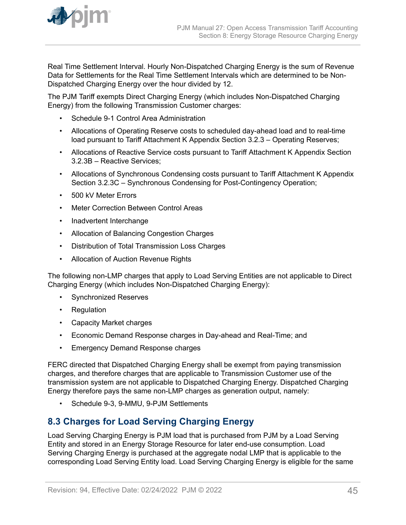<span id="page-44-0"></span>

Real Time Settlement Interval. Hourly Non-Dispatched Charging Energy is the sum of Revenue Data for Settlements for the Real Time Settlement Intervals which are determined to be Non-Dispatched Charging Energy over the hour divided by 12.

The PJM Tariff exempts Direct Charging Energy (which includes Non-Dispatched Charging Energy) from the following Transmission Customer charges:

- Schedule 9-1 Control Area Administration
- Allocations of Operating Reserve costs to scheduled day-ahead load and to real-time load pursuant to Tariff Attachment K Appendix Section 3.2.3 – Operating Reserves;
- Allocations of Reactive Service costs pursuant to Tariff Attachment K Appendix Section 3.2.3B – Reactive Services;
- Allocations of Synchronous Condensing costs pursuant to Tariff Attachment K Appendix Section 3.2.3C – Synchronous Condensing for Post-Contingency Operation;
- 500 kV Meter Errors
- **Meter Correction Between Control Areas**
- Inadvertent Interchange
- Allocation of Balancing Congestion Charges
- Distribution of Total Transmission Loss Charges
- Allocation of Auction Revenue Rights

The following non-LMP charges that apply to Load Serving Entities are not applicable to Direct Charging Energy (which includes Non-Dispatched Charging Energy):

- Synchronized Reserves
- Regulation
- Capacity Market charges
- Economic Demand Response charges in Day-ahead and Real-Time; and
- Emergency Demand Response charges

FERC directed that Dispatched Charging Energy shall be exempt from paying transmission charges, and therefore charges that are applicable to Transmission Customer use of the transmission system are not applicable to Dispatched Charging Energy. Dispatched Charging Energy therefore pays the same non-LMP charges as generation output, namely:

• Schedule 9-3, 9-MMU, 9-PJM Settlements

# **8.3 Charges for Load Serving Charging Energy**

Load Serving Charging Energy is PJM load that is purchased from PJM by a Load Serving Entity and stored in an Energy Storage Resource for later end-use consumption. Load Serving Charging Energy is purchased at the aggregate nodal LMP that is applicable to the corresponding Load Serving Entity load. Load Serving Charging Energy is eligible for the same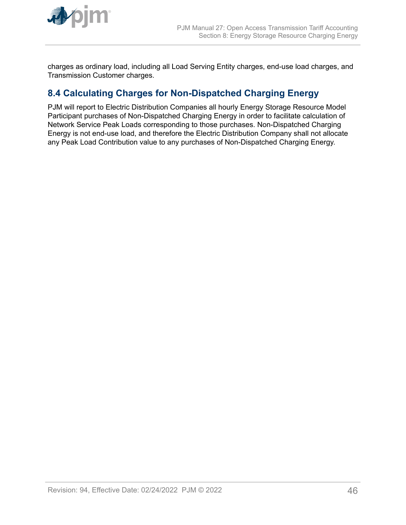<span id="page-45-0"></span>

charges as ordinary load, including all Load Serving Entity charges, end-use load charges, and Transmission Customer charges.

# **8.4 Calculating Charges for Non-Dispatched Charging Energy**

PJM will report to Electric Distribution Companies all hourly Energy Storage Resource Model Participant purchases of Non-Dispatched Charging Energy in order to facilitate calculation of Network Service Peak Loads corresponding to those purchases. Non-Dispatched Charging Energy is not end-use load, and therefore the Electric Distribution Company shall not allocate any Peak Load Contribution value to any purchases of Non-Dispatched Charging Energy.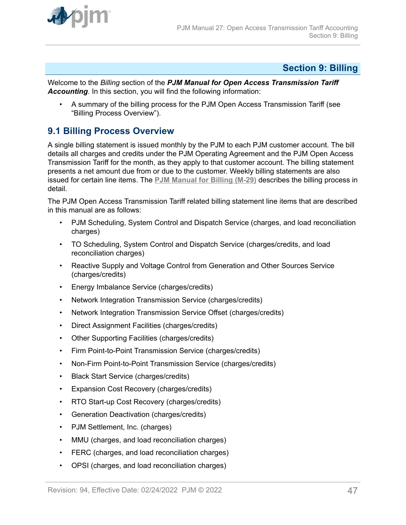<span id="page-46-0"></span>

# **Section 9: Billing**

Welcome to the *Billing* section of the *PJM Manual for Open Access Transmission Tariff Accounting*. In this section, you will find the following information:

• A summary of the billing process for the PJM Open Access Transmission Tariff (see "Billing Process Overview").

# **9.1 Billing Process Overview**

A single billing statement is issued monthly by the PJM to each PJM customer account. The bill details all charges and credits under the PJM Operating Agreement and the PJM Open Access Transmission Tariff for the month, as they apply to that customer account. The billing statement presents a net amount due from or due to the customer. Weekly billing statements are also issued for certain line items. The **[PJM Manual for Billing \(M-29\)](http://www.pjm.com/~/media/documents/manuals/m29.ashx)** describes the billing process in detail.

The PJM Open Access Transmission Tariff related billing statement line items that are described in this manual are as follows:

- PJM Scheduling, System Control and Dispatch Service (charges, and load reconciliation charges)
- TO Scheduling, System Control and Dispatch Service (charges/credits, and load reconciliation charges)
- Reactive Supply and Voltage Control from Generation and Other Sources Service (charges/credits)
- Energy Imbalance Service (charges/credits)
- Network Integration Transmission Service (charges/credits)
- Network Integration Transmission Service Offset (charges/credits)
- Direct Assignment Facilities (charges/credits)
- Other Supporting Facilities (charges/credits)
- Firm Point-to-Point Transmission Service (charges/credits)
- Non-Firm Point-to-Point Transmission Service (charges/credits)
- Black Start Service (charges/credits)
- Expansion Cost Recovery (charges/credits)
- RTO Start-up Cost Recovery (charges/credits)
- Generation Deactivation (charges/credits)
- PJM Settlement, Inc. (charges)
- MMU (charges, and load reconciliation charges)
- FERC (charges, and load reconciliation charges)
- OPSI (charges, and load reconciliation charges)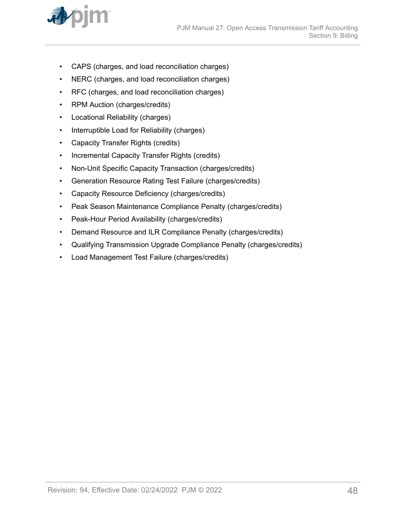

- CAPS (charges, and load reconciliation charges)
- NERC (charges, and load reconciliation charges)
- RFC (charges, and load reconciliation charges)
- RPM Auction (charges/credits)
- Locational Reliability (charges)
- Interruptible Load for Reliability (charges)
- Capacity Transfer Rights (credits)
- Incremental Capacity Transfer Rights (credits)
- Non-Unit Specific Capacity Transaction (charges/credits)
- Generation Resource Rating Test Failure (charges/credits)
- Capacity Resource Deficiency (charges/credits)
- Peak Season Maintenance Compliance Penalty (charges/credits)
- Peak-Hour Period Availability (charges/credits)
- Demand Resource and ILR Compliance Penalty (charges/credits)
- Qualifying Transmission Upgrade Compliance Penalty (charges/credits)
- Load Management Test Failure (charges/credits)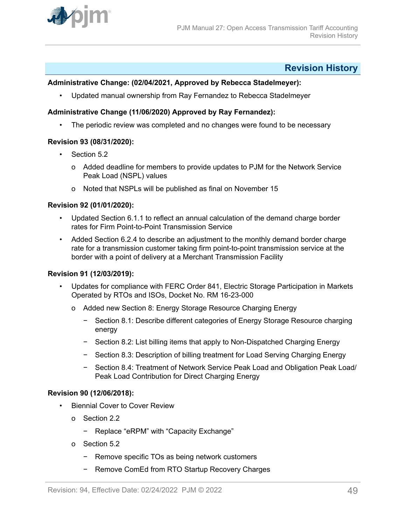<span id="page-48-0"></span>

# **Revision History**

### **Administrative Change: (02/04/2021, Approved by Rebecca Stadelmeyer):**

• Updated manual ownership from Ray Fernandez to Rebecca Stadelmeyer

## **Administrative Change (11/06/2020) Approved by Ray Fernandez):**

• The periodic review was completed and no changes were found to be necessary

### **Revision 93 (08/31/2020):**

- Section 5.2
	- o Added deadline for members to provide updates to PJM for the Network Service Peak Load (NSPL) values
	- o Noted that NSPLs will be published as final on November 15

### **Revision 92 (01/01/2020):**

- Updated Section 6.1.1 to reflect an annual calculation of the demand charge border rates for Firm Point-to-Point Transmission Service
- Added Section 6.2.4 to describe an adjustment to the monthly demand border charge rate for a transmission customer taking firm point-to-point transmission service at the border with a point of delivery at a Merchant Transmission Facility

### **Revision 91 (12/03/2019):**

- Updates for compliance with FERC Order 841, Electric Storage Participation in Markets Operated by RTOs and ISOs, Docket No. RM 16-23-000
	- o Added new Section 8: Energy Storage Resource Charging Energy
		- − Section 8.1: Describe different categories of Energy Storage Resource charging energy
		- − Section 8.2: List billing items that apply to Non-Dispatched Charging Energy
		- − Section 8.3: Description of billing treatment for Load Serving Charging Energy
		- − Section 8.4: Treatment of Network Service Peak Load and Obligation Peak Load/ Peak Load Contribution for Direct Charging Energy

#### **Revision 90 (12/06/2018):**

- Biennial Cover to Cover Review
	- o Section 2.2
		- − Replace "eRPM" with "Capacity Exchange"
	- o Section 5.2
		- − Remove specific TOs as being network customers
		- − Remove ComEd from RTO Startup Recovery Charges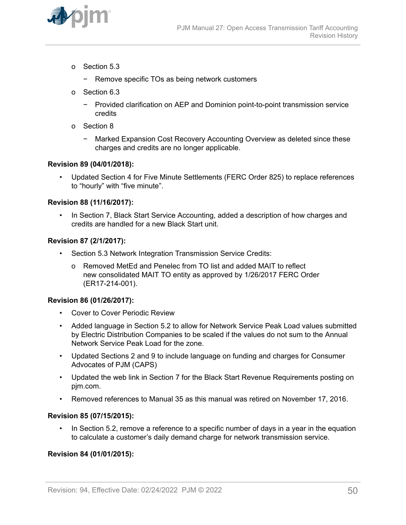

- o Section 5.3
	- − Remove specific TOs as being network customers
- o Section 6.3
	- − Provided clarification on AEP and Dominion point-to-point transmission service credits
- o Section 8
	- − Marked Expansion Cost Recovery Accounting Overview as deleted since these charges and credits are no longer applicable.

#### **Revision 89 (04/01/2018):**

• Updated Section 4 for Five Minute Settlements (FERC Order 825) to replace references to "hourly" with "five minute".

### **Revision 88 (11/16/2017):**

In Section 7, Black Start Service Accounting, added a description of how charges and credits are handled for a new Black Start unit.

#### **Revision 87 (2/1/2017):**

- Section 5.3 Network Integration Transmission Service Credits:
	- o Removed MetEd and Penelec from TO list and added MAIT to reflect new consolidated MAIT TO entity as approved by 1/26/2017 FERC Order (ER17-214-001).

#### **Revision 86 (01/26/2017):**

- Cover to Cover Periodic Review
- Added language in Section 5.2 to allow for Network Service Peak Load values submitted by Electric Distribution Companies to be scaled if the values do not sum to the Annual Network Service Peak Load for the zone.
- Updated Sections 2 and 9 to include language on funding and charges for Consumer Advocates of PJM (CAPS)
- Updated the web link in Section 7 for the Black Start Revenue Requirements posting on pjm.com.
- Removed references to Manual 35 as this manual was retired on November 17, 2016.

#### **Revision 85 (07/15/2015):**

• In Section 5.2, remove a reference to a specific number of days in a year in the equation to calculate a customer's daily demand charge for network transmission service.

#### **Revision 84 (01/01/2015):**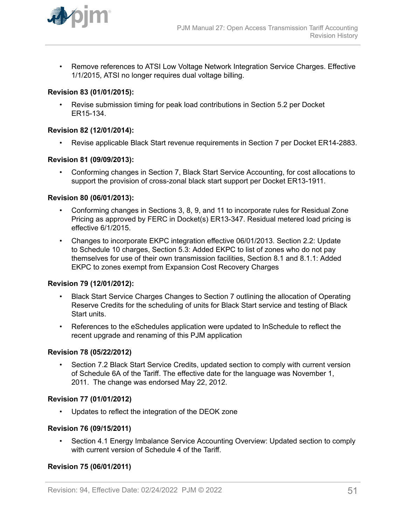

• Remove references to ATSI Low Voltage Network Integration Service Charges. Effective 1/1/2015, ATSI no longer requires dual voltage billing.

### **Revision 83 (01/01/2015):**

• Revise submission timing for peak load contributions in Section 5.2 per Docket ER15-134.

#### **Revision 82 (12/01/2014):**

• Revise applicable Black Start revenue requirements in Section 7 per Docket ER14-2883.

### **Revision 81 (09/09/2013):**

• Conforming changes in Section 7, Black Start Service Accounting, for cost allocations to support the provision of cross-zonal black start support per Docket ER13-1911.

#### **Revision 80 (06/01/2013):**

- Conforming changes in Sections 3, 8, 9, and 11 to incorporate rules for Residual Zone Pricing as approved by FERC in Docket(s) ER13-347. Residual metered load pricing is effective 6/1/2015.
- Changes to incorporate EKPC integration effective 06/01/2013. Section 2.2: Update to Schedule 10 charges, Section 5.3: Added EKPC to list of zones who do not pay themselves for use of their own transmission facilities, Section 8.1 and 8.1.1: Added EKPC to zones exempt from Expansion Cost Recovery Charges

### **Revision 79 (12/01/2012):**

- Black Start Service Charges Changes to Section 7 outlining the allocation of Operating Reserve Credits for the scheduling of units for Black Start service and testing of Black Start units.
- References to the eSchedules application were updated to InSchedule to reflect the recent upgrade and renaming of this PJM application

#### **Revision 78 (05/22/2012)**

• Section 7.2 Black Start Service Credits, updated section to comply with current version of Schedule 6A of the Tariff. The effective date for the language was November 1, 2011. The change was endorsed May 22, 2012.

### **Revision 77 (01/01/2012)**

• Updates to reflect the integration of the DEOK zone

#### **Revision 76 (09/15/2011)**

• Section 4.1 Energy Imbalance Service Accounting Overview: Updated section to comply with current version of Schedule 4 of the Tariff.

### **Revision 75 (06/01/2011)**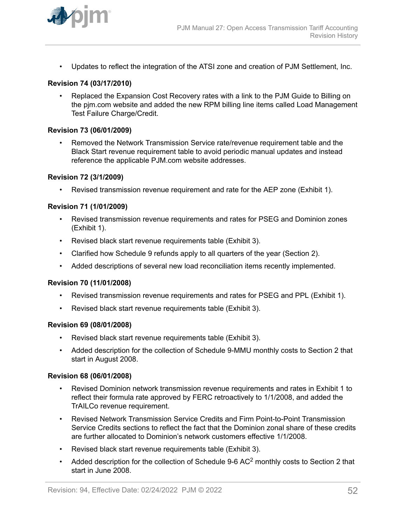

• Updates to reflect the integration of the ATSI zone and creation of PJM Settlement, Inc.

#### **Revision 74 (03/17/2010)**

• Replaced the Expansion Cost Recovery rates with a link to the PJM Guide to Billing on the pjm.com website and added the new RPM billing line items called Load Management Test Failure Charge/Credit.

#### **Revision 73 (06/01/2009)**

• Removed the Network Transmission Service rate/revenue requirement table and the Black Start revenue requirement table to avoid periodic manual updates and instead reference the applicable PJM.com website addresses.

#### **Revision 72 (3/1/2009)**

• Revised transmission revenue requirement and rate for the AEP zone (Exhibit 1).

#### **Revision 71 (1/01/2009)**

- Revised transmission revenue requirements and rates for PSEG and Dominion zones (Exhibit 1).
- Revised black start revenue requirements table (Exhibit 3).
- Clarified how Schedule 9 refunds apply to all quarters of the year (Section 2).
- Added descriptions of several new load reconciliation items recently implemented.

#### **Revision 70 (11/01/2008)**

- Revised transmission revenue requirements and rates for PSEG and PPL (Exhibit 1).
- Revised black start revenue requirements table (Exhibit 3).

#### **Revision 69 (08/01/2008)**

- Revised black start revenue requirements table (Exhibit 3).
- Added description for the collection of Schedule 9-MMU monthly costs to Section 2 that start in August 2008.

#### **Revision 68 (06/01/2008)**

- Revised Dominion network transmission revenue requirements and rates in Exhibit 1 to reflect their formula rate approved by FERC retroactively to 1/1/2008, and added the TrAILCo revenue requirement.
- Revised Network Transmission Service Credits and Firm Point-to-Point Transmission Service Credits sections to reflect the fact that the Dominion zonal share of these credits are further allocated to Dominion's network customers effective 1/1/2008.
- Revised black start revenue requirements table (Exhibit 3).
- Added description for the collection of Schedule 9-6 AC<sup>2</sup> monthly costs to Section 2 that start in June 2008.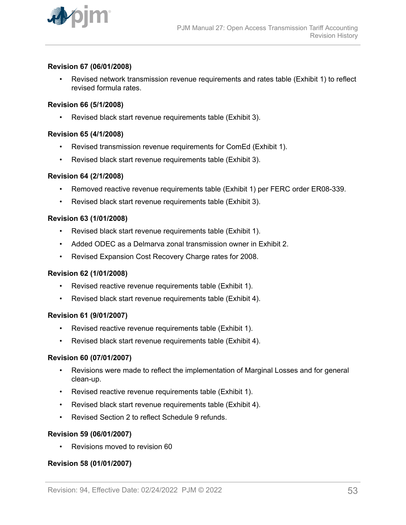

### **Revision 67 (06/01/2008)**

• Revised network transmission revenue requirements and rates table (Exhibit 1) to reflect revised formula rates.

#### **Revision 66 (5/1/2008)**

• Revised black start revenue requirements table (Exhibit 3).

### **Revision 65 (4/1/2008)**

- Revised transmission revenue requirements for ComEd (Exhibit 1).
- Revised black start revenue requirements table (Exhibit 3).

### **Revision 64 (2/1/2008)**

- Removed reactive revenue requirements table (Exhibit 1) per FERC order ER08-339.
- Revised black start revenue requirements table (Exhibit 3).

### **Revision 63 (1/01/2008)**

- Revised black start revenue requirements table (Exhibit 1).
- Added ODEC as a Delmarva zonal transmission owner in Exhibit 2.
- Revised Expansion Cost Recovery Charge rates for 2008.

#### **Revision 62 (1/01/2008)**

- Revised reactive revenue requirements table (Exhibit 1).
- Revised black start revenue requirements table (Exhibit 4).

#### **Revision 61 (9/01/2007)**

- Revised reactive revenue requirements table (Exhibit 1).
- Revised black start revenue requirements table (Exhibit 4).

#### **Revision 60 (07/01/2007)**

- Revisions were made to reflect the implementation of Marginal Losses and for general clean-up.
- Revised reactive revenue requirements table (Exhibit 1).
- Revised black start revenue requirements table (Exhibit 4).
- Revised Section 2 to reflect Schedule 9 refunds

### **Revision 59 (06/01/2007)**

• Revisions moved to revision 60

### **Revision 58 (01/01/2007)**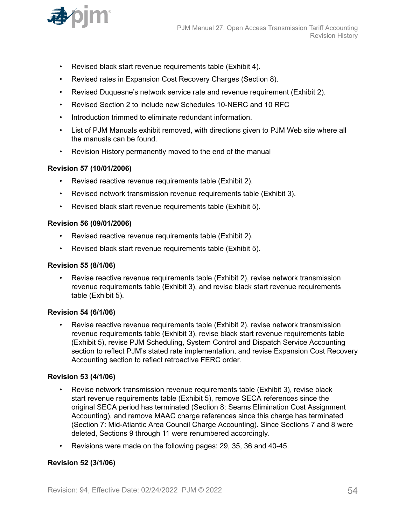

- Revised black start revenue requirements table (Exhibit 4).
- Revised rates in Expansion Cost Recovery Charges (Section 8).
- Revised Duquesne's network service rate and revenue requirement (Exhibit 2).
- Revised Section 2 to include new Schedules 10-NERC and 10 RFC
- Introduction trimmed to eliminate redundant information.
- List of PJM Manuals exhibit removed, with directions given to PJM Web site where all the manuals can be found.
- Revision History permanently moved to the end of the manual

### **Revision 57 (10/01/2006)**

- Revised reactive revenue requirements table (Exhibit 2).
- Revised network transmission revenue requirements table (Exhibit 3).
- Revised black start revenue requirements table (Exhibit 5).

#### **Revision 56 (09/01/2006)**

- Revised reactive revenue requirements table (Exhibit 2).
- Revised black start revenue requirements table (Exhibit 5).

#### **Revision 55 (8/1/06)**

• Revise reactive revenue requirements table (Exhibit 2), revise network transmission revenue requirements table (Exhibit 3), and revise black start revenue requirements table (Exhibit 5).

#### **Revision 54 (6/1/06)**

• Revise reactive revenue requirements table (Exhibit 2), revise network transmission revenue requirements table (Exhibit 3), revise black start revenue requirements table (Exhibit 5), revise PJM Scheduling, System Control and Dispatch Service Accounting section to reflect PJM's stated rate implementation, and revise Expansion Cost Recovery Accounting section to reflect retroactive FERC order.

#### **Revision 53 (4/1/06)**

- Revise network transmission revenue requirements table (Exhibit 3), revise black start revenue requirements table (Exhibit 5), remove SECA references since the original SECA period has terminated (Section 8: Seams Elimination Cost Assignment Accounting), and remove MAAC charge references since this charge has terminated (Section 7: Mid-Atlantic Area Council Charge Accounting). Since Sections 7 and 8 were deleted, Sections 9 through 11 were renumbered accordingly.
- Revisions were made on the following pages: 29, 35, 36 and 40-45.

# **Revision 52 (3/1/06)**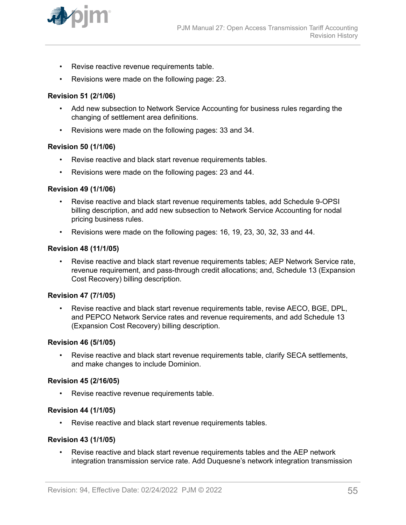

- Revise reactive revenue requirements table.
- Revisions were made on the following page: 23.

#### **Revision 51 (2/1/06)**

- Add new subsection to Network Service Accounting for business rules regarding the changing of settlement area definitions.
- Revisions were made on the following pages: 33 and 34.

#### **Revision 50 (1/1/06)**

- Revise reactive and black start revenue requirements tables.
- Revisions were made on the following pages: 23 and 44.

#### **Revision 49 (1/1/06)**

- Revise reactive and black start revenue requirements tables, add Schedule 9-OPSI billing description, and add new subsection to Network Service Accounting for nodal pricing business rules.
- Revisions were made on the following pages: 16, 19, 23, 30, 32, 33 and 44.

#### **Revision 48 (11/1/05)**

• Revise reactive and black start revenue requirements tables; AEP Network Service rate, revenue requirement, and pass-through credit allocations; and, Schedule 13 (Expansion Cost Recovery) billing description.

#### **Revision 47 (7/1/05)**

• Revise reactive and black start revenue requirements table, revise AECO, BGE, DPL, and PEPCO Network Service rates and revenue requirements, and add Schedule 13 (Expansion Cost Recovery) billing description.

#### **Revision 46 (5/1/05)**

• Revise reactive and black start revenue requirements table, clarify SECA settlements, and make changes to include Dominion.

#### **Revision 45 (2/16/05)**

• Revise reactive revenue requirements table.

#### **Revision 44 (1/1/05)**

• Revise reactive and black start revenue requirements tables.

#### **Revision 43 (1/1/05)**

• Revise reactive and black start revenue requirements tables and the AEP network integration transmission service rate. Add Duquesne's network integration transmission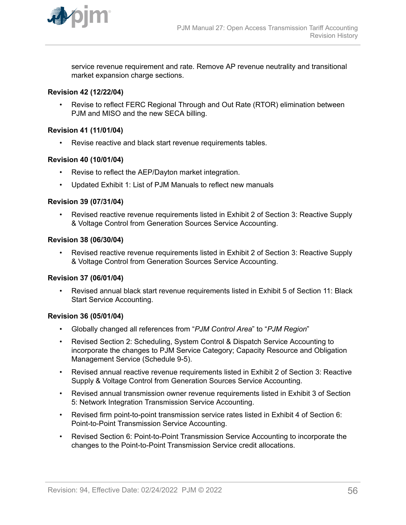

service revenue requirement and rate. Remove AP revenue neutrality and transitional market expansion charge sections.

### **Revision 42 (12/22/04)**

• Revise to reflect FERC Regional Through and Out Rate (RTOR) elimination between PJM and MISO and the new SECA billing.

#### **Revision 41 (11/01/04)**

• Revise reactive and black start revenue requirements tables.

### **Revision 40 (10/01/04)**

- Revise to reflect the AEP/Dayton market integration.
- Updated Exhibit 1: List of PJM Manuals to reflect new manuals

#### **Revision 39 (07/31/04)**

• Revised reactive revenue requirements listed in Exhibit 2 of Section 3: Reactive Supply & Voltage Control from Generation Sources Service Accounting.

#### **Revision 38 (06/30/04)**

• Revised reactive revenue requirements listed in Exhibit 2 of Section 3: Reactive Supply & Voltage Control from Generation Sources Service Accounting.

#### **Revision 37 (06/01/04)**

• Revised annual black start revenue requirements listed in Exhibit 5 of Section 11: Black Start Service Accounting.

#### **Revision 36 (05/01/04)**

- Globally changed all references from "*PJM Control Area*" to "*PJM Region*"
- Revised Section 2: Scheduling, System Control & Dispatch Service Accounting to incorporate the changes to PJM Service Category; Capacity Resource and Obligation Management Service (Schedule 9-5).
- Revised annual reactive revenue requirements listed in Exhibit 2 of Section 3: Reactive Supply & Voltage Control from Generation Sources Service Accounting.
- Revised annual transmission owner revenue requirements listed in Exhibit 3 of Section 5: Network Integration Transmission Service Accounting.
- Revised firm point-to-point transmission service rates listed in Exhibit 4 of Section 6: Point-to-Point Transmission Service Accounting.
- Revised Section 6: Point-to-Point Transmission Service Accounting to incorporate the changes to the Point-to-Point Transmission Service credit allocations.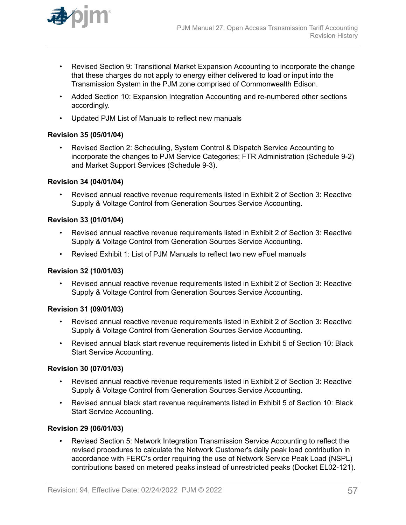

- Revised Section 9: Transitional Market Expansion Accounting to incorporate the change that these charges do not apply to energy either delivered to load or input into the Transmission System in the PJM zone comprised of Commonwealth Edison.
- Added Section 10: Expansion Integration Accounting and re-numbered other sections accordingly.
- Updated PJM List of Manuals to reflect new manuals

### **Revision 35 (05/01/04)**

• Revised Section 2: Scheduling, System Control & Dispatch Service Accounting to incorporate the changes to PJM Service Categories; FTR Administration (Schedule 9-2) and Market Support Services (Schedule 9-3).

### **Revision 34 (04/01/04)**

• Revised annual reactive revenue requirements listed in Exhibit 2 of Section 3: Reactive Supply & Voltage Control from Generation Sources Service Accounting.

# **Revision 33 (01/01/04)**

- Revised annual reactive revenue requirements listed in Exhibit 2 of Section 3: Reactive Supply & Voltage Control from Generation Sources Service Accounting.
- Revised Exhibit 1: List of PJM Manuals to reflect two new eFuel manuals

### **Revision 32 (10/01/03)**

• Revised annual reactive revenue requirements listed in Exhibit 2 of Section 3: Reactive Supply & Voltage Control from Generation Sources Service Accounting.

### **Revision 31 (09/01/03)**

- Revised annual reactive revenue requirements listed in Exhibit 2 of Section 3: Reactive Supply & Voltage Control from Generation Sources Service Accounting.
- Revised annual black start revenue requirements listed in Exhibit 5 of Section 10: Black Start Service Accounting.

### **Revision 30 (07/01/03)**

- Revised annual reactive revenue requirements listed in Exhibit 2 of Section 3: Reactive Supply & Voltage Control from Generation Sources Service Accounting.
- Revised annual black start revenue requirements listed in Exhibit 5 of Section 10: Black Start Service Accounting.

### **Revision 29 (06/01/03)**

• Revised Section 5: Network Integration Transmission Service Accounting to reflect the revised procedures to calculate the Network Customer's daily peak load contribution in accordance with FERC's order requiring the use of Network Service Peak Load (NSPL) contributions based on metered peaks instead of unrestricted peaks (Docket EL02-121).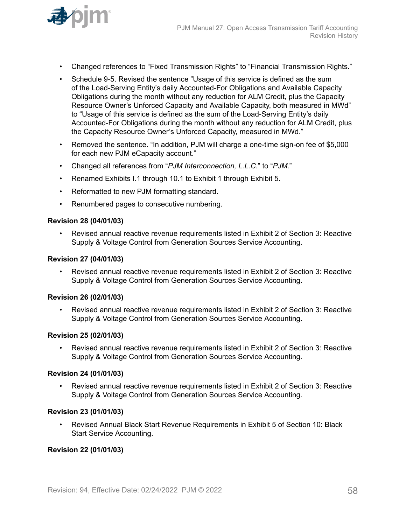

- Changed references to "Fixed Transmission Rights" to "Financial Transmission Rights."
- Schedule 9-5. Revised the sentence "Usage of this service is defined as the sum of the Load-Serving Entity's daily Accounted-For Obligations and Available Capacity Obligations during the month without any reduction for ALM Credit, plus the Capacity Resource Owner's Unforced Capacity and Available Capacity, both measured in MWd" to "Usage of this service is defined as the sum of the Load-Serving Entity's daily Accounted-For Obligations during the month without any reduction for ALM Credit, plus the Capacity Resource Owner's Unforced Capacity, measured in MWd."
- Removed the sentence. "In addition, PJM will charge a one-time sign-on fee of \$5,000 for each new PJM eCapacity account."
- Changed all references from "*PJM Interconnection, L.L.C.*" to "*PJM*."
- Renamed Exhibits I.1 through 10.1 to Exhibit 1 through Exhibit 5.
- Reformatted to new PJM formatting standard.
- Renumbered pages to consecutive numbering.

#### **Revision 28 (04/01/03)**

• Revised annual reactive revenue requirements listed in Exhibit 2 of Section 3: Reactive Supply & Voltage Control from Generation Sources Service Accounting.

# **Revision 27 (04/01/03)**

• Revised annual reactive revenue requirements listed in Exhibit 2 of Section 3: Reactive Supply & Voltage Control from Generation Sources Service Accounting.

#### **Revision 26 (02/01/03)**

• Revised annual reactive revenue requirements listed in Exhibit 2 of Section 3: Reactive Supply & Voltage Control from Generation Sources Service Accounting.

#### **Revision 25 (02/01/03)**

• Revised annual reactive revenue requirements listed in Exhibit 2 of Section 3: Reactive Supply & Voltage Control from Generation Sources Service Accounting.

#### **Revision 24 (01/01/03)**

• Revised annual reactive revenue requirements listed in Exhibit 2 of Section 3: Reactive Supply & Voltage Control from Generation Sources Service Accounting.

#### **Revision 23 (01/01/03)**

• Revised Annual Black Start Revenue Requirements in Exhibit 5 of Section 10: Black Start Service Accounting.

#### **Revision 22 (01/01/03)**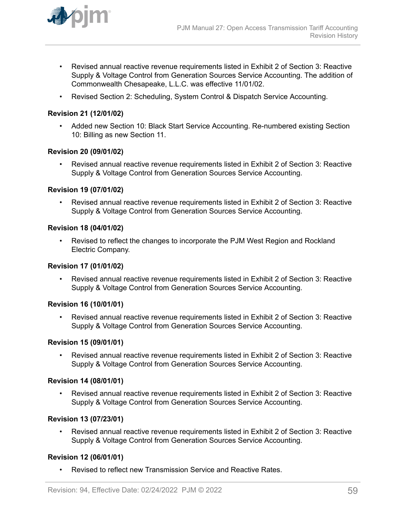

- Revised annual reactive revenue requirements listed in Exhibit 2 of Section 3: Reactive Supply & Voltage Control from Generation Sources Service Accounting. The addition of Commonwealth Chesapeake, L.L.C. was effective 11/01/02.
- Revised Section 2: Scheduling, System Control & Dispatch Service Accounting.

### **Revision 21 (12/01/02)**

• Added new Section 10: Black Start Service Accounting. Re-numbered existing Section 10: Billing as new Section 11.

### **Revision 20 (09/01/02)**

• Revised annual reactive revenue requirements listed in Exhibit 2 of Section 3: Reactive Supply & Voltage Control from Generation Sources Service Accounting.

### **Revision 19 (07/01/02)**

• Revised annual reactive revenue requirements listed in Exhibit 2 of Section 3: Reactive Supply & Voltage Control from Generation Sources Service Accounting.

#### **Revision 18 (04/01/02)**

• Revised to reflect the changes to incorporate the PJM West Region and Rockland Electric Company.

#### **Revision 17 (01/01/02)**

• Revised annual reactive revenue requirements listed in Exhibit 2 of Section 3: Reactive Supply & Voltage Control from Generation Sources Service Accounting.

#### **Revision 16 (10/01/01)**

• Revised annual reactive revenue requirements listed in Exhibit 2 of Section 3: Reactive Supply & Voltage Control from Generation Sources Service Accounting.

### **Revision 15 (09/01/01)**

• Revised annual reactive revenue requirements listed in Exhibit 2 of Section 3: Reactive Supply & Voltage Control from Generation Sources Service Accounting.

#### **Revision 14 (08/01/01)**

• Revised annual reactive revenue requirements listed in Exhibit 2 of Section 3: Reactive Supply & Voltage Control from Generation Sources Service Accounting.

### **Revision 13 (07/23/01)**

• Revised annual reactive revenue requirements listed in Exhibit 2 of Section 3: Reactive Supply & Voltage Control from Generation Sources Service Accounting.

### **Revision 12 (06/01/01)**

• Revised to reflect new Transmission Service and Reactive Rates.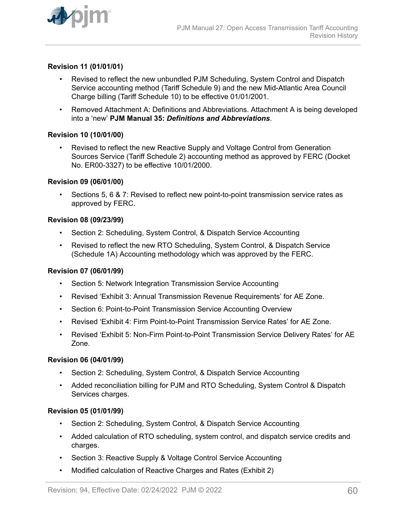

### **Revision 11 (01/01/01)**

- Revised to reflect the new unbundled PJM Scheduling, System Control and Dispatch Service accounting method (Tariff Schedule 9) and the new Mid-Atlantic Area Council Charge billing (Tariff Schedule 10) to be effective 01/01/2001.
- Removed Attachment A: Definitions and Abbreviations. Attachment A is being developed into a 'new' **PJM Manual 35:** *Definitions and Abbreviations*.

#### **Revision 10 (10/01/00)**

• Revised to reflect the new Reactive Supply and Voltage Control from Generation Sources Service (Tariff Schedule 2) accounting method as approved by FERC (Docket No. ER00-3327) to be effective 10/01/2000.

#### **Revision 09 (06/01/00)**

• Sections 5, 6 & 7: Revised to reflect new point-to-point transmission service rates as approved by FERC.

#### **Revision 08 (09/23/99)**

- Section 2: Scheduling, System Control, & Dispatch Service Accounting
- Revised to reflect the new RTO Scheduling, System Control, & Dispatch Service (Schedule 1A) Accounting methodology which was approved by the FERC.

#### **Revision 07 (06/01/99)**

- Section 5: Network Integration Transmission Service Accounting
- Revised 'Exhibit 3: Annual Transmission Revenue Requirements' for AE Zone.
- Section 6: Point-to-Point Transmission Service Accounting Overview
- Revised 'Exhibit 4: Firm Point-to-Point Transmission Service Rates' for AE Zone.
- Revised 'Exhibit 5: Non-Firm Point-to-Point Transmission Service Delivery Rates' for AE Zone.

#### **Revision 06 (04/01/99)**

- Section 2: Scheduling, System Control, & Dispatch Service Accounting
- Added reconciliation billing for PJM and RTO Scheduling, System Control & Dispatch Services charges.

#### **Revision 05 (01/01/99)**

- Section 2: Scheduling, System Control, & Dispatch Service Accounting
- Added calculation of RTO scheduling, system control, and dispatch service credits and charges.
- Section 3: Reactive Supply & Voltage Control Service Accounting
- Modified calculation of Reactive Charges and Rates (Exhibit 2)